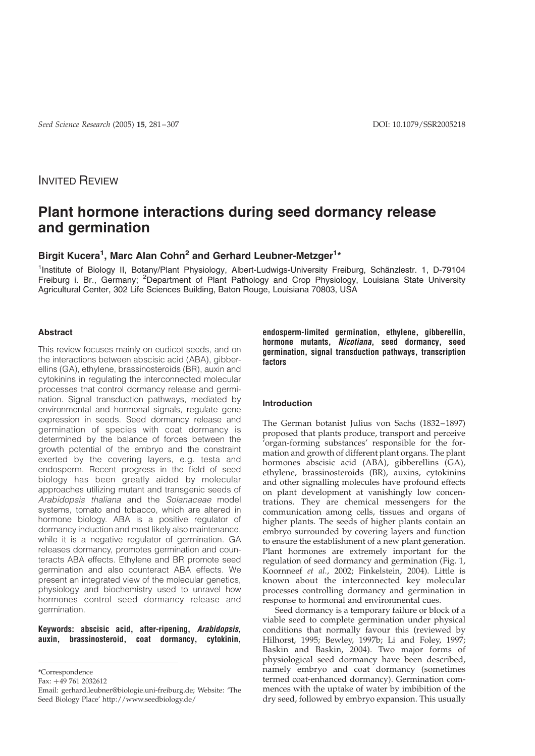# INVITED REVIEW

# Plant hormone interactions during seed dormancy release and germination

# Birgit Kucera<sup>1</sup>, Marc Alan Cohn<sup>2</sup> and Gerhard Leubner-Metzger<sup>1</sup>\*

<sup>1</sup>Institute of Biology II, Botany/Plant Physiology, Albert-Ludwigs-University Freiburg, Schänzlestr. 1, D-79104 Freiburg i. Br., Germany; <sup>2</sup>Department of Plant Pathology and Crop Physiology, Louisiana State University Agricultural Center, 302 Life Sciences Building, Baton Rouge, Louisiana 70803, USA

### Abstract

This review focuses mainly on eudicot seeds, and on the interactions between abscisic acid (ABA), gibberellins (GA), ethylene, brassinosteroids (BR), auxin and cytokinins in regulating the interconnected molecular processes that control dormancy release and germination. Signal transduction pathways, mediated by environmental and hormonal signals, regulate gene expression in seeds. Seed dormancy release and germination of species with coat dormancy is determined by the balance of forces between the growth potential of the embryo and the constraint exerted by the covering layers, e.g. testa and endosperm. Recent progress in the field of seed biology has been greatly aided by molecular approaches utilizing mutant and transgenic seeds of Arabidopsis thaliana and the Solanaceae model systems, tomato and tobacco, which are altered in hormone biology. ABA is a positive regulator of dormancy induction and most likely also maintenance, while it is a negative regulator of germination. GA releases dormancy, promotes germination and counteracts ABA effects. Ethylene and BR promote seed germination and also counteract ABA effects. We present an integrated view of the molecular genetics, physiology and biochemistry used to unravel how hormones control seed dormancy release and germination.

Keywords: abscisic acid, after-ripening, Arabidopsis, auxin, brassinosteroid, coat dormancy, cytokinin,

endosperm-limited germination, ethylene, gibberellin, hormone mutants, Nicotiana, seed dormancy, seed germination, signal transduction pathways, transcription factors

#### Introduction

The German botanist Julius von Sachs (1832–1897) proposed that plants produce, transport and perceive 'organ-forming substances' responsible for the formation and growth of different plant organs. The plant hormones abscisic acid (ABA), gibberellins (GA), ethylene, brassinosteroids (BR), auxins, cytokinins and other signalling molecules have profound effects on plant development at vanishingly low concentrations. They are chemical messengers for the communication among cells, tissues and organs of higher plants. The seeds of higher plants contain an embryo surrounded by covering layers and function to ensure the establishment of a new plant generation. Plant hormones are extremely important for the regulation of seed dormancy and germination [\(Fig. 1](#page-1-0), Koornneef et al., 2002; Finkelstein, 2004). Little is known about the interconnected key molecular processes controlling dormancy and germination in response to hormonal and environmental cues.

Seed dormancy is a temporary failure or block of a viable seed to complete germination under physical conditions that normally favour this (reviewed by Hilhorst, 1995; Bewley, 1997b; Li and Foley, 1997; Baskin and Baskin, 2004). Two major forms of physiological seed dormancy have been described, namely embryo and coat dormancy (sometimes termed coat-enhanced dormancy). Germination commences with the uptake of water by imbibition of the dry seed, followed by embryo expansion. This usually

<sup>\*</sup>Correspondence

Fax:  $+\overline{49}$  761 2032612

Email: gerhard.leubner@biologie.uni-freiburg.de; Website: 'The Seed Biology Place' http://www.seedbiology.de/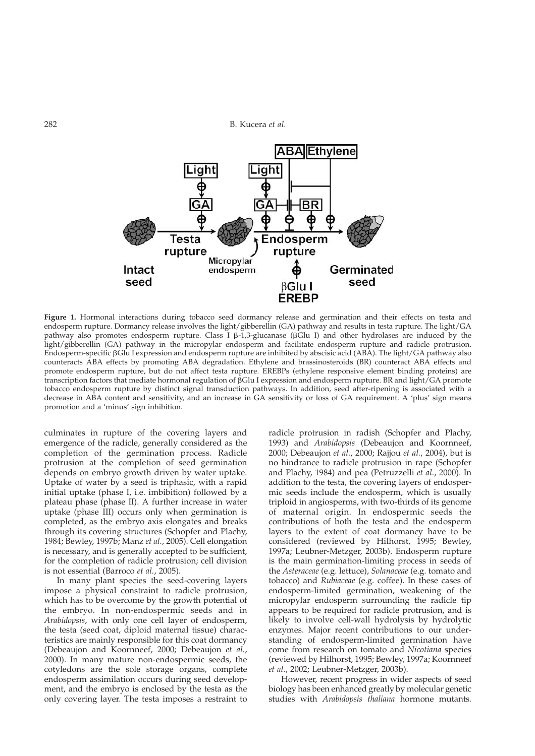<span id="page-1-0"></span>

Figure 1. Hormonal interactions during tobacco seed dormancy release and germination and their effects on testa and endosperm rupture. Dormancy release involves the light/gibberellin (GA) pathway and results in testa rupture. The light/GA pathway also promotes endosperm rupture. Class I  $\beta$ -1,3-glucanase ( $\beta$ Glu I) and other hydrolases are induced by the light/gibberellin (GA) pathway in the micropylar endosperm and facilitate endosperm rupture and radicle protrusion. Endosperm-specific bGlu I expression and endosperm rupture are inhibited by abscisic acid (ABA). The light/GA pathway also counteracts ABA effects by promoting ABA degradation. Ethylene and brassinosteroids (BR) counteract ABA effects and promote endosperm rupture, but do not affect testa rupture. EREBPs (ethylene responsive element binding proteins) are transcription factors that mediate hormonal regulation of  $\beta$ Glu I expression and endosperm rupture. BR and light/GA promote tobacco endosperm rupture by distinct signal transduction pathways. In addition, seed after-ripening is associated with a decrease in ABA content and sensitivity, and an increase in GA sensitivity or loss of GA requirement. A 'plus' sign means promotion and a 'minus' sign inhibition.

culminates in rupture of the covering layers and emergence of the radicle, generally considered as the completion of the germination process. Radicle protrusion at the completion of seed germination depends on embryo growth driven by water uptake. Uptake of water by a seed is triphasic, with a rapid initial uptake (phase I, i.e. imbibition) followed by a plateau phase (phase II). A further increase in water uptake (phase III) occurs only when germination is completed, as the embryo axis elongates and breaks through its covering structures (Schopfer and Plachy, 1984; Bewley, 1997b; Manz et al., 2005). Cell elongation is necessary, and is generally accepted to be sufficient, for the completion of radicle protrusion; cell division is not essential (Barroco et al., 2005).

In many plant species the seed-covering layers impose a physical constraint to radicle protrusion, which has to be overcome by the growth potential of the embryo. In non-endospermic seeds and in Arabidopsis, with only one cell layer of endosperm, the testa (seed coat, diploid maternal tissue) characteristics are mainly responsible for this coat dormancy (Debeaujon and Koornneef, 2000; Debeaujon et al., 2000). In many mature non-endospermic seeds, the cotyledons are the sole storage organs, complete endosperm assimilation occurs during seed development, and the embryo is enclosed by the testa as the only covering layer. The testa imposes a restraint to

radicle protrusion in radish (Schopfer and Plachy, 1993) and Arabidopsis (Debeaujon and Koornneef, 2000; Debeaujon et al., 2000; Rajjou et al., 2004), but is no hindrance to radicle protrusion in rape (Schopfer and Plachy, 1984) and pea (Petruzzelli et al., 2000). In addition to the testa, the covering layers of endospermic seeds include the endosperm, which is usually triploid in angiosperms, with two-thirds of its genome of maternal origin. In endospermic seeds the contributions of both the testa and the endosperm layers to the extent of coat dormancy have to be considered (reviewed by Hilhorst, 1995; Bewley, 1997a; Leubner-Metzger, 2003b). Endosperm rupture is the main germination-limiting process in seeds of the Asteraceae (e.g. lettuce), Solanaceae (e.g. tomato and tobacco) and Rubiaceae (e.g. coffee). In these cases of endosperm-limited germination, weakening of the micropylar endosperm surrounding the radicle tip appears to be required for radicle protrusion, and is likely to involve cell-wall hydrolysis by hydrolytic enzymes. Major recent contributions to our understanding of endosperm-limited germination have come from research on tomato and Nicotiana species (reviewed by Hilhorst, 1995; Bewley, 1997a; Koornneef et al., 2002; Leubner-Metzger, 2003b).

However, recent progress in wider aspects of seed biology has been enhanced greatly by molecular genetic studies with Arabidopsis thaliana hormone mutants.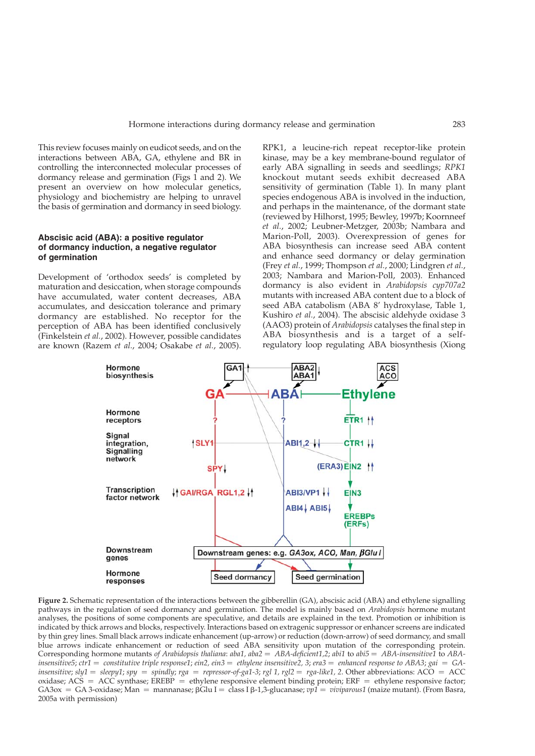<span id="page-2-0"></span>This review focuses mainly on eudicot seeds, and on the interactions between ABA, GA, ethylene and BR in controlling the interconnected molecular processes of dormancy release and germination ([Figs 1 and 2\)](#page-1-0). We present an overview on how molecular genetics, physiology and biochemistry are helping to unravel the basis of germination and dormancy in seed biology.

# Abscisic acid (ABA): a positive regulator of dormancy induction, a negative regulator of germination

Development of 'orthodox seeds' is completed by maturation and desiccation, when storage compounds have accumulated, water content decreases, ABA accumulates, and desiccation tolerance and primary dormancy are established. No receptor for the perception of ABA has been identified conclusively (Finkelstein et al., 2002). However, possible candidates are known (Razem et al., 2004; Osakabe et al., 2005).

RPK1, a leucine-rich repeat receptor-like protein kinase, may be a key membrane-bound regulator of early ABA signalling in seeds and seedlings; RPK1 knockout mutant seeds exhibit decreased ABA sensitivity of germination [\(Table 1\)](#page-3-0). In many plant species endogenous ABA is involved in the induction, and perhaps in the maintenance, of the dormant state (reviewed by Hilhorst, 1995; Bewley, 1997b; Koornneef et al., 2002; Leubner-Metzger, 2003b; Nambara and Marion-Poll, 2003). Overexpression of genes for ABA biosynthesis can increase seed ABA content and enhance seed dormancy or delay germination (Frey et al., 1999; Thompson et al., 2000; Lindgren et al., 2003; Nambara and Marion-Poll, 2003). Enhanced dormancy is also evident in Arabidopsis cyp707a2 mutants with increased ABA content due to a block of seed ABA catabolism (ABA 8' hydroxylase, [Table 1](#page-3-0), Kushiro et al., 2004). The abscisic aldehyde oxidase 3 (AAO3) protein of Arabidopsis catalyses the final step in ABA biosynthesis and is a target of a selfregulatory loop regulating ABA biosynthesis (Xiong



Figure 2. Schematic representation of the interactions between the gibberellin (GA), abscisic acid (ABA) and ethylene signalling pathways in the regulation of seed dormancy and germination. The model is mainly based on Arabidopsis hormone mutant analyses, the positions of some components are speculative, and details are explained in the text. Promotion or inhibition is indicated by thick arrows and blocks, respectively. Interactions based on extragenic suppressor or enhancer screens are indicated by thin grey lines. Small black arrows indicate enhancement (up-arrow) or reduction (down-arrow) of seed dormancy, and small blue arrows indicate enhancement or reduction of seed ABA sensitivity upon mutation of the corresponding protein. Corresponding hormone mutants of Arabidopsis thaliana: aba1, aba2 = ABA-deficient1,2; abi1 to abi5 = ABA-insensitive1 to ABAinsensitive5; ctr1 = constitutive triple response1; ein2, ein3 = ethylene insensitive2, 3; era3 = enhanced response to ABA3; gai = GAinsensitive; sly1 = sleepy1; spy = spindly; rga = repressor-of-ga1-3; rgl 1, rgl2 = rga-like1, 2. Other abbreviations: ACO = ACC oxidase;  $ACS = ACC$  synthase;  $EREBP =$  ethylene responsive element binding protein;  $ERF =$  ethylene responsive factor; GA3ox = GA 3-oxidase; Man = mannanase;  $\beta$ Glu I = class I  $\beta$ -1,3-glucanase;  $vp1 = viriparous1$  (maize mutant). (From Basra, 2005a with permission)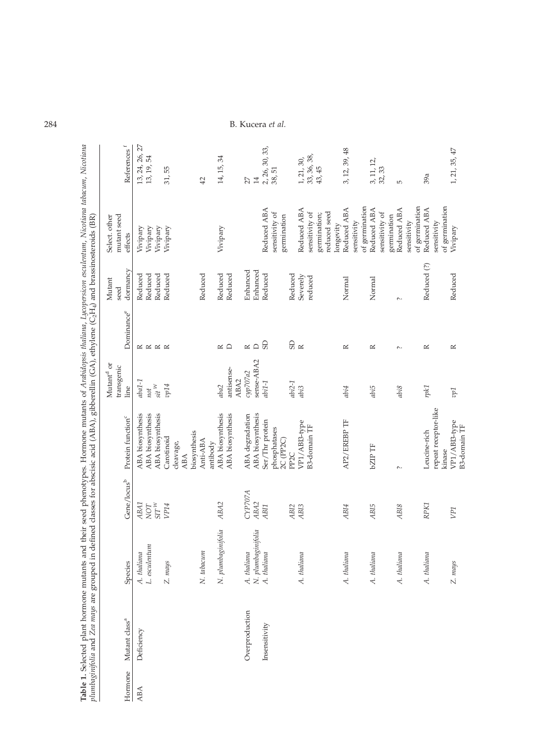|            | plumbaginifolia and Zea mays are grouped in defined classes for abscisic acid (ABA), gibberellin (GA), ethylene (C <sub>2</sub> H <sub>4</sub> ) and brassinosteroids (BR)<br>Table 1. Selected plant hormone mutants and |                                   |                         | their seed phenotypes. Hormone mutants of Arabidopsis thaliana, Lycopersicon esculentum, Nicotiana tabacum, Nicotiana |                                               |                        |                        |                               |                                                              |
|------------|---------------------------------------------------------------------------------------------------------------------------------------------------------------------------------------------------------------------------|-----------------------------------|-------------------------|-----------------------------------------------------------------------------------------------------------------------|-----------------------------------------------|------------------------|------------------------|-------------------------------|--------------------------------------------------------------|
|            |                                                                                                                                                                                                                           |                                   |                         |                                                                                                                       | $\mathbf{Mutant}^\mathbf{d}$ or<br>transgenic |                        | Mutant<br>seed         | mutant seed<br>Select. other  |                                                              |
| Hormone    | Mutant class <sup>a</sup>                                                                                                                                                                                                 | Species                           | Gene/locus <sup>b</sup> | Protein function <sup>c</sup>                                                                                         | line                                          | Dominance <sup>e</sup> | dormancy               | effects                       | References $^{\rm f}$                                        |
| <b>ABA</b> | Deficiency                                                                                                                                                                                                                | A. thaliana                       | ABA1                    | <b>ABA</b> biosynthesis                                                                                               | $aba1-1$                                      |                        | Reduced                | Vivipary                      | 27<br>13, 24, 26,                                            |
|            |                                                                                                                                                                                                                           | L. esculentum                     | NOT                     | ABA biosynthesis                                                                                                      | not                                           | $R$ $R$ $R$ $R$        | Reduced                | Vivipary                      | 54<br>13, 19,                                                |
|            |                                                                                                                                                                                                                           |                                   | $^{8} \Pi S$            | <b>ABA</b> biosynthesis                                                                                               | $^{\rm{eff}}$                                 |                        | Reduced                | Vivipary                      |                                                              |
|            |                                                                                                                                                                                                                           | Z. mays                           | VP14                    | Carotinoid                                                                                                            | $p14$                                         |                        | Reduced                | Vivipary                      | 31, 55                                                       |
|            |                                                                                                                                                                                                                           |                                   |                         | cleavage,<br><b>ABA</b>                                                                                               |                                               |                        |                        |                               |                                                              |
|            |                                                                                                                                                                                                                           |                                   |                         | biosynthesis                                                                                                          |                                               |                        |                        |                               |                                                              |
|            |                                                                                                                                                                                                                           | N. tabacum                        |                         | Anti-ABA<br>antibody                                                                                                  |                                               |                        | Reduced                |                               | $\overline{4}$                                               |
|            |                                                                                                                                                                                                                           | ifolia<br>N. plumbagini           | ABA2                    | <b>ABA</b> biosynthesis                                                                                               | aba2                                          |                        | Reduced                | Vivipary                      | 34<br>14, 15,                                                |
|            |                                                                                                                                                                                                                           |                                   |                         | ABA biosynthesis                                                                                                      | antisense-<br>ABA2                            | $\approx$ $\Box$       | Reduced                |                               |                                                              |
|            | Overproduction                                                                                                                                                                                                            | A. thaliana                       | CYP707A                 | ABA degradation                                                                                                       | cyp707a2                                      |                        | Enhanced               |                               | 27                                                           |
|            |                                                                                                                                                                                                                           | N. plumbaginifolia<br>A. thaliana | ABA2                    | ABA biosynthesis                                                                                                      | sense-ABA2                                    | $\approx$ $\Box$       | Enhanced               |                               | 14                                                           |
|            | Insensitivity                                                                                                                                                                                                             |                                   | ABI1                    | Ser/Thr protein                                                                                                       | $abi1-1$                                      | SD                     | Reduced                | Reduced ABA                   | 2, 26, 30, 33,                                               |
|            |                                                                                                                                                                                                                           |                                   |                         | phosphatases                                                                                                          |                                               |                        |                        | sensitivity of                | 38, 51                                                       |
|            |                                                                                                                                                                                                                           |                                   | ABI2                    | 2C (PP2C)<br>PP <sub>2C</sub>                                                                                         | $abi2-1$                                      |                        |                        | germination                   |                                                              |
|            |                                                                                                                                                                                                                           |                                   |                         |                                                                                                                       |                                               | GS                     | Reduced                |                               |                                                              |
|            |                                                                                                                                                                                                                           | A. thaliana                       | ABI3                    | VP1/ABI3-type                                                                                                         | abi3                                          | $\simeq$               | Severely               | Reduced ABA                   | 1, 21, 30,                                                   |
|            |                                                                                                                                                                                                                           |                                   |                         | B3-domain TF                                                                                                          |                                               |                        | reduced                | sensitivity of                | 33, 36, 38,                                                  |
|            |                                                                                                                                                                                                                           |                                   |                         |                                                                                                                       |                                               |                        |                        | germination;                  | 43, 45                                                       |
|            |                                                                                                                                                                                                                           |                                   |                         |                                                                                                                       |                                               |                        |                        | reduced seed                  |                                                              |
|            |                                                                                                                                                                                                                           | A. thaliana                       | ABI4                    | AP2/EREBP TF                                                                                                          | abi4                                          | $\approx$              | Normal                 | Reduced ABA<br>longevity      | 3, 12, 39, 48                                                |
|            |                                                                                                                                                                                                                           |                                   |                         |                                                                                                                       |                                               |                        |                        | sensitivity                   |                                                              |
|            |                                                                                                                                                                                                                           |                                   |                         |                                                                                                                       |                                               |                        |                        | of germination                |                                                              |
|            |                                                                                                                                                                                                                           | A. thaliana                       | ABI5                    | <b>bZIPTF</b>                                                                                                         | abi5                                          | $\approx$              | Normal                 | Reduced ABA                   | $\begin{array}{c} 3, \, 11, \, 12, \\ 32, \, 33 \end{array}$ |
|            |                                                                                                                                                                                                                           |                                   |                         |                                                                                                                       |                                               |                        |                        | sensitivity of                |                                                              |
|            |                                                                                                                                                                                                                           | A. thaliana                       | ABI8                    | $\sim$                                                                                                                | abi8                                          | $\sim$                 | $\sim$                 | Reduced ABA<br>germination    | 5                                                            |
|            |                                                                                                                                                                                                                           |                                   |                         |                                                                                                                       |                                               |                        |                        | sensitivity                   |                                                              |
|            |                                                                                                                                                                                                                           |                                   |                         |                                                                                                                       |                                               |                        |                        | of germination                |                                                              |
|            |                                                                                                                                                                                                                           | A. thaliana                       | RPK1                    | Leucine-rich                                                                                                          | rpk1                                          | $\approx$              | Reduced <sup>(?)</sup> | Reduced ABA                   | 39a                                                          |
|            |                                                                                                                                                                                                                           |                                   |                         | repeat receptor-like<br>kinase                                                                                        |                                               |                        |                        | of germination<br>sensitivity |                                                              |
|            |                                                                                                                                                                                                                           | Z. mays                           | VPI                     | VP1/ABI3-type                                                                                                         | pq                                            | $\approx$              | Reduced                | Vivipary                      | 1, 21, 35, 47                                                |
|            |                                                                                                                                                                                                                           |                                   |                         | <b>B3-domain TF</b>                                                                                                   |                                               |                        |                        |                               |                                                              |

<span id="page-3-0"></span>284 B. Kucera et al.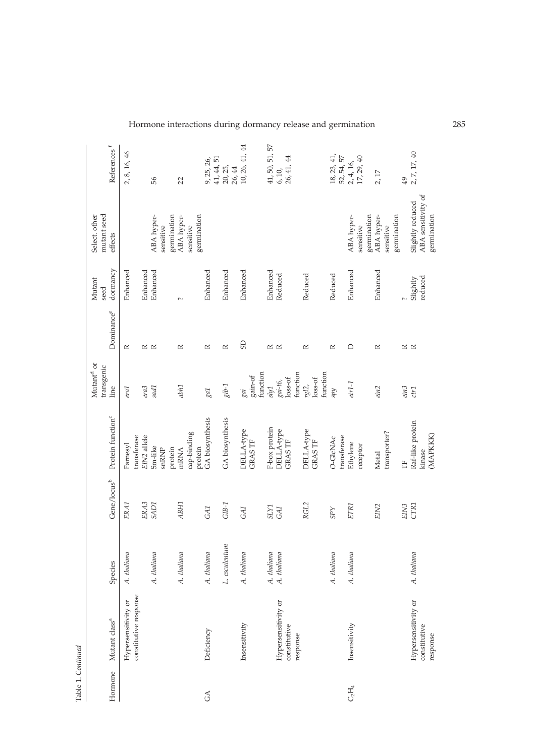| Hormone      | Mutant class <sup>a</sup>                       | Species       | $Gene/locus^b$   | Protein function <sup>c</sup>          | Mutant <sup>d</sup> or<br>transgenic<br>line | Dominance <sup>e</sup>    | dormancy<br>Mutant<br>seed | mutant seed<br>Select. other<br>effects               | References $^{\rm f}$                 |
|--------------|-------------------------------------------------|---------------|------------------|----------------------------------------|----------------------------------------------|---------------------------|----------------------------|-------------------------------------------------------|---------------------------------------|
|              | constitutive response<br>Hypersensitivity or    | A. thaliana   | ERA1             | transferase<br>Farnesyl                | era1                                         | $\approx$                 | Enhanced                   |                                                       | 2, 8, 16, 46                          |
|              |                                                 |               | ERA3             | EIN <sub>2</sub> allele                | era <sub>3</sub>                             |                           | Enhanced                   |                                                       |                                       |
|              |                                                 | A. thaliana   | SAD <sub>1</sub> | Sm-like<br>$snRNP$                     | sad <sub>1</sub>                             | $\mathbb R$ $\mathbb R$   | Enhanced                   | ABA hyper-<br>sensitive                               | 99                                    |
|              |                                                 | A. thaliana   | ABH1             | protein<br>mRNA                        | abh1                                         | $\simeq$                  | $\sim$                     | germination<br>ABA hyper-                             | $\mathbb{Z}$                          |
|              |                                                 |               |                  | cap-binding<br>protein                 |                                              |                           |                            | germination<br>sensitive                              |                                       |
| $\mathbb{S}$ | Deficiency                                      | A. thaliana   | GAI              | GA biosynthesis                        | $g$ a $1$                                    | $\approx$                 | Enhanced                   |                                                       | 41, 44, 51<br>9, 25, 26,              |
|              |                                                 | L. esculentum | $GIB-1$          | GA biosynthesis                        | $s^{ib-1}$                                   | $\approx$                 | Enhanced                   |                                                       | 20, 25,<br>26, 44                     |
|              | Insensitivity                                   | A. thaliana   | <b>GAI</b>       | DELLA-type<br><b>GRASTF</b>            | function<br>gain-of<br>gai                   | GS                        | Enhanced                   |                                                       | 10, 26, 41, 44                        |
|              |                                                 | A. thaliana   | LCTS             | F-box protein                          | sly1                                         |                           | Enhanced                   |                                                       | 41, 50, 51, 57                        |
|              | Hypersensitivity or                             | A. thaliana   | GAI              | DELLA-type                             | $gai-t6,$                                    | $\mathbb{R}$ $\mathbb{R}$ | Reduced                    |                                                       | 6, 10,                                |
|              | constitutive<br>response                        |               |                  | <b>GRASTF</b>                          | function<br>$loss-of$                        |                           |                            |                                                       | 26, 41, 44                            |
|              |                                                 |               | RGL2             | DELLA-type<br><b>GRASTF</b>            | function<br>$loss-of$<br>$rgl2$ ,            | $\approx$                 | Reduced                    |                                                       |                                       |
|              |                                                 | A. thaliana   | $S$ P $\gamma$   | transferase<br>O-GlcNAc                | hás                                          | $\approx$                 | Reduced                    |                                                       | 18, 23, 41,                           |
| $C_2H_4$     | Insensitivity                                   | A. thaliana   | ETR <sub>1</sub> | Ethylene                               | $etr1-1$                                     | $\Box$                    | Enhanced                   | ABA hyper-                                            | 52, 54, 57<br>2, 4, 16,<br>17, 29, 40 |
|              |                                                 |               |                  | receptor                               |                                              |                           |                            | germination<br>sensitive                              |                                       |
|              |                                                 |               | EIN <sub>2</sub> | transporter?<br>Metal                  | ein2                                         | $\approx$                 | Enhanced                   | ABA hyper-<br>sensitive                               | $2,17$                                |
|              |                                                 |               |                  |                                        |                                              |                           |                            | germination                                           |                                       |
|              |                                                 |               | EIN <sub>3</sub> | Ë                                      | ein <sub>3</sub>                             | $\mathbb{R}$ $\mathbb{R}$ |                            |                                                       | $\overline{\Theta}$                   |
|              | Hypersensitivity or<br>constitutive<br>response | A. thaliana   | <b>CTR1</b>      | Raf-like protein<br>(MAPKKK)<br>kinase | ctr1                                         |                           | reduced<br>Slightly        | ABA sensitivity of<br>Slightly reduced<br>germination | 2, 7, 17, 40                          |

Hormone interactions during dormancy release and germination 285

Table 1. Continued Table 1. Continued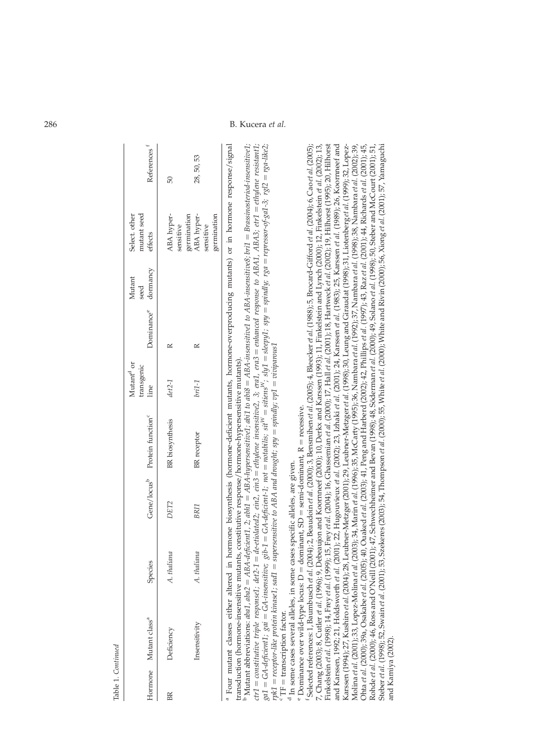| ١ |  |
|---|--|
|   |  |

|    | Hormone Mutant class <sup>a</sup> | Species     |                  | Gene/locus <sup>b</sup> Protein function <sup>c</sup> | Mutant <sup>d</sup> or<br>transgenic<br>line | Dominancee | dormancy<br>Mutant<br>seed | Select. other<br>mutant seed<br>effects | References |
|----|-----------------------------------|-------------|------------------|-------------------------------------------------------|----------------------------------------------|------------|----------------------------|-----------------------------------------|------------|
| BR | Deficiency                        | A. thaliana | DET <sub>2</sub> | BR biosynthesis                                       | $det2-1$                                     |            |                            | ABA hyper-<br>sensitive                 | 50         |
|    | Insensitivity                     | A. thaliana | <b>BRI1</b>      | <b>BR</b> receptor                                    | $bri1-1$                                     |            |                            | germination<br>ABA hyper-<br>sensitive  | 28, 50, 53 |
|    |                                   |             |                  |                                                       |                                              |            |                            | germination                             |            |

<sup>a</sup> Four mutant classes either altered in hormone biosynthesis (hormone-deficient mutants, hormone-overproducing mutants) or in hormone response/signal Four mutant classes either altered in hormone biosynthesis (hormone-deficient mutants, hormone-overproducing mutants) or in hormone response/signal transduction (hormone-insensitive mutants, constitutive response/hormone-hypersensitive mutants).

transduction (hormone-insensitive mutants, constitutive response/hormone-hypersensitive mutants).<br><sup>b</sup> Mutant abbreviations: *aba1, aba2 = ABA-deficient1, 2; abh1 = ABA-hypersensitive1; abi1 to abi8 = ABA-insensitive1 to AB*  $\Delta$  Mutant abbreviations: aba1, aba2 = ABA-deficient1, 2; abh1 = ABA-hypersensitive1; abi1 to abi8 = ABA-insensitive1 to ABA-insensitive8; bri1 = Brassinosteriod-insensitive1;  $ctrl1 =$  constitutive triple responsel;  $det2-1 = detidated2$ ;  $ein2$ ,  $ein3 = etlu/ene$  insensitive2, 3;  $era3 = enluared$  response to ABA1, ABA3;  $etr1 = ethulene$  resistant1; ctr1 = constitutive triple response1; det2-1 = de-etiolated2; ein2, ein3 = ethylene insensitive2, 3; era3 = enhanced response to ABA1, ABA3; etr1 = ethylene resistant1; gal = GA-deficient1; gai = GA-insensitive; gib-1 = GA-deficient-1; not = motabilis; sit  $^W$  = sitiens", siy1 = sleepy1; spy = spindly; rga = repressor-of-gal-3; rgl2 = rga-like2;  $gal=GA\cdot deficient1; \; gai=GA\cdot insensitive; \; gib\cdot1=GA\cdot deficient\cdot1; \; mot=notability; \; sitW=sitensW; \; siy1=slepy1; \; spy=spindly; \; rga=repressor-of-ga1-3; \; rgl2=rga-like2; \; sj1=3; \; sj1=1/2; \; sj1=1/2; \; sj2=1/2; \; sj1=1/2; \; sj2=1/2; \; sj1=1/2; \; sj2=1/2; \; sj1=1/2; \; sj2=1/2; \; sj1=1/2; \; sj2=1/2; \; sj$  $pb(1 = receptor-like protein kinase1; sad1 = supersemitive to ABA and drought; spy = spindly; vp1 = viriparous1$ rpk1 = receptor-like protein kinase1; sad1 = supersensitive to ABA and drought; spy = spindly; vp1 = viviparous1  $c$  TF  $=$  transcription factor.

<sup>d</sup> In some cases several alleles, in some cases specific alleles, are given. <sup>c</sup> TF = transcription factor.<br><sup>d</sup> In some cases several alleles, in some cases specific alleles, are given.

 $e$  Dominance over wild-type locus:  $D =$  dominant,  $SD =$  semi-dominant,  $R =$  recessive.

° Dominance over wild-type locus: D = dominant, SD = semi-dominant, R = recessive.<br>' Selected references: 1, Baumbusch et al. (2004); 2, Beaudoin et al. (2000); 3, Bensmihen et al. (2005); 4, Bleecker et al. (1988); 5, Bro Selected references: 1, Baumbusch et al. (2004); 2, Beaudoin et al. (2000); 3, Bensmihen et al. (2005); 4, Bleecker et al. (1988); 5, Brocard-Gifford et al. (2004); 6, Cao et al. (2005); 7, Chang (2003); 8, Cutler et al. (1996); 9, Debeaujon and Koormeef (2000); 10, Derkx and Karssen (1993); 11, Finkelstein and Lynch (2000); 12, Finkelstein et al. (2002); 13, 7, Chang (2003); 8, Cutler et al. (1996); 9, Debeaujon and Koornneef (2000); 10, Derkx and Karssen (1993); 11, Finkelstein and Lynch (2000); 12, Finkelstein et al. (2002); 13, Finkelstein et al. (1998); 14, Frey et al. (1999); 15, Frey et al. (2004); 16, Chassemian et al. (2000); 17, Hall et al. (2001); 18, Hartweck et al. (2002); 19, Hilhorst (1995); 20, Hilhorst Finkelstein et al. (1998); 14, Frey et al. (1999); 15, Frey et al. (2004); 16, Ghassemian et al. (2000); 17, Hallet al. (2001); 18, Hartweck et al. (2002); 19, Hilhorst (1995); 20, Hilhorst and Karssen, 1992; 21, Holdsworth et al. (2001); 22, Hugouvieux et al. (2002); 23, Izhaki et al. (2001); 24, Karssen et al. (1983); 25, Karssen et al. (1989); 26, Koormeef and and Karssen, 1992; 21, Holdsworth et al. (2001); 22, Hugouvieux et al. (2002); 23, Izhaki et al. (2001); 24, Karssen et al. (1983); 25, Karssen et al. (1989); 26, Koornneef and Karssen (1994); 27, Kushiro et al. (2004); 28, Leubner-Metzger (2001); 29, Leubner-Metzger et al. (1998); 30, Leung and Giraudat (1998); 31, Liotenberg et al. (1999); 32, Lopez-Karssen (1994); 27, Kushiro et al. (2004); 28, Leubner-Metzger (2001); 29, Leubner-Metzgeret al. (1998); 30, Leung and Giraudat (1998); 31, Liotenberg et al. (1999); 32, Lopez-Molina et al. (2001); 33, Lopez-Molina et al. (2003); 34, Marin et al. (1996); 35, McCarty (1995); 36, Nambara et al. (1992); 37, Nambara et al. (1998); 38, Nambara et al. (2002); 39, Molina et al. (2001); 33, Lopez-Molina et al. (2003); 34, Marin et al. (1996); 35, McCarty (1995); 36, Nambara et al. (1992); 37, Nambara et al. (1998); 38, Nambara et al. (2002); 39, Ohta et al. (2000); 39a, Osakabe et al. (2005); 40, Ouaked et al. (2003); 41, Peng and Harberd (2002); 42, Phillips et al. (1997); 43, Raz et al. (2001); 44, Richards et al. (2001); 45, Ohta et al. (2000); 39a, Osakabe et al. (2005); 40, Ouaked et al. (2003); 41, Peng and Harberd (2002); 42, Phillips et al. (1997); 43, Raz et al. (2001); 44, Richards et al. (2001); 45, Rohde et al. (2000); 46, Ross and O'Neill (2001); 47, Schwechheimer and Bevan (1998); 48, Söderman et al. (2000); 49, Solano et al. (1998); 50, Steber and McCourt (2001); 51, Rohde *et al.* (2000); 46, Ross and O'Neill (2001); 47, Schwechheimer and Bevan (1998); 48, Söderman *et al.* (2001); 49, Solano *et al.* (1998); 50, Steber and McCourt (2001); 51, Steber et al. (1998); 52, Swain et al. (2001); 53, Szekeres (2003); 54, Thompson et al. (2000); 55, White et al. (2000); White and Rivin (2000); 56, Xiong et al. (2001); 57, Yamaguchi Steberet al. (1998); 52, Swain et al. (2001); 53, Szekeres (2003); 54, Thompson et al. (2000); 55, White et al. (2000); White and Rivin (2000); 56, Xiong et al. (2001); 57, Yamaguchi and Kamiya (2002). and Kamiya (2002)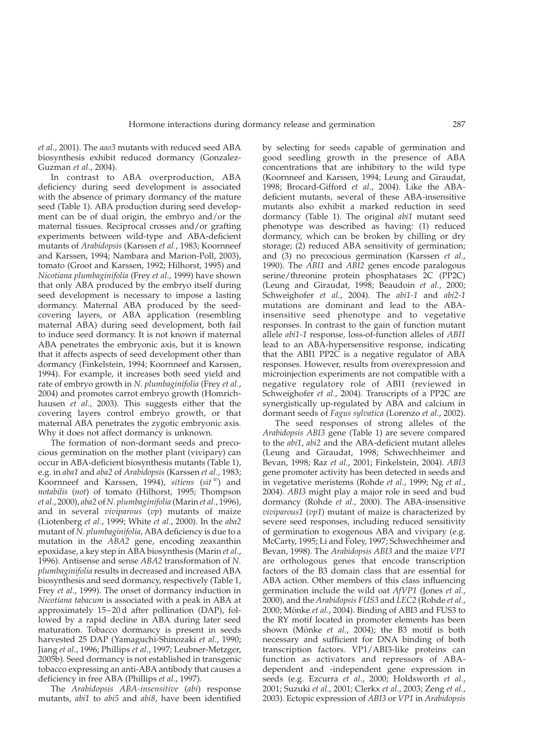et al., 2001). The aao3 mutants with reduced seed ABA biosynthesis exhibit reduced dormancy (Gonzalez-Guzman et al., 2004).

In contrast to ABA overproduction, ABA deficiency during seed development is associated with the absence of primary dormancy of the mature seed [\(Table 1](#page-3-0)). ABA production during seed development can be of dual origin, the embryo and/or the maternal tissues. Reciprocal crosses and/or grafting experiments between wild-type and ABA-deficient mutants of Arabidopsis (Karssen et al., 1983; Koornneef and Karssen, 1994; Nambara and Marion-Poll, 2003), tomato (Groot and Karssen, 1992; Hilhorst, 1995) and Nicotiana plumbaginifolia (Frey et al., 1999) have shown that only ABA produced by the embryo itself during seed development is necessary to impose a lasting dormancy. Maternal ABA produced by the seedcovering layers, or ABA application (resembling maternal ABA) during seed development, both fail to induce seed dormancy. It is not known if maternal ABA penetrates the embryonic axis, but it is known that it affects aspects of seed development other than dormancy (Finkelstein, 1994; Koornneef and Karssen, 1994). For example, it increases both seed yield and rate of embryo growth in N. plumbaginifolia (Frey et al., 2004) and promotes carrot embryo growth (Homrichhausen et al., 2003). This suggests either that the covering layers control embryo growth, or that maternal ABA penetrates the zygotic embryonic axis. Why it does not affect dormancy is unknown.

The formation of non-dormant seeds and precocious germination on the mother plant (vivipary) can occur in ABA-deficient biosynthesis mutants ([Table 1\)](#page-3-0), e.g. in aba1 and aba2 of Arabidopsis (Karssen et al., 1983; Koornneef and Karssen, 1994), sitiens (sit<sup> $w$ </sup>) and notabilis (not) of tomato (Hilhorst, 1995; Thompson et al., 2000), aba2 of N. plumbaginifolia (Marin et al., 1996), and in several  $viviparous$   $(vp)$  mutants of maize (Liotenberg et al., 1999; White et al., 2000). In the aba2 mutant of N. plumbaginifolia, ABA deficiency is due to a mutation in the ABA2 gene, encoding zeaxanthin epoxidase, a key step in ABA biosynthesis (Marin et al., 1996). Antisense and sense ABA2 transformation of N. plumbaginifolia results in decreased and increased ABA biosynthesis and seed dormancy, respectively ([Table 1,](#page-3-0) Frey et al., 1999). The onset of dormancy induction in Nicotiana tabacum is associated with a peak in ABA at approximately 15–20 d after pollination (DAP), followed by a rapid decline in ABA during later seed maturation. Tobacco dormancy is present in seeds harvested 25 DAP (Yamaguchi-Shinozaki et al., 1990; Jiang et al., 1996; Phillips et al., 1997; Leubner-Metzger, 2005b). Seed dormancy is not established in transgenic tobacco expressing an anti-ABA antibody that causes a deficiency in free ABA (Phillips et al., 1997).

The Arabidopsis ABA-insensitive (abi) response mutants, abi1 to abi5 and abi8, have been identified by selecting for seeds capable of germination and good seedling growth in the presence of ABA concentrations that are inhibitory to the wild type (Koornneef and Karssen, 1994; Leung and Giraudat, 1998; Brocard-Gifford et al., 2004). Like the ABAdeficient mutants, several of these ABA-insensitive mutants also exhibit a marked reduction in seed dormancy ([Table 1\)](#page-3-0). The original abi1 mutant seed phenotype was described as having: (1) reduced dormancy, which can be broken by chilling or dry storage; (2) reduced ABA sensitivity of germination; and (3) no precocious germination (Karssen et al., 1990). The ABI1 and ABI2 genes encode paralogous serine/threonine protein phosphatases 2C (PP2C) (Leung and Giraudat, 1998; Beaudoin et al., 2000; Schweighofer et al., 2004). The abi1-1 and abi2-1 mutations are dominant and lead to the ABAinsensitive seed phenotype and to vegetative responses. In contrast to the gain of function mutant allele abi1-1 response, loss-of-function alleles of ABI1 lead to an ABA-hypersensitive response, indicating that the ABI1 PP2C is a negative regulator of ABA responses. However, results from overexpression and microinjection experiments are not compatible with a negative regulatory role of ABI1 (reviewed in Schweighofer et al., 2004). Transcripts of a PP2C are synergistically up-regulated by ABA and calcium in dormant seeds of Fagus sylvatica (Lorenzo et al., 2002).

The seed responses of strong alleles of the Arabidopsis ABI3 gene ([Table 1](#page-3-0)) are severe compared to the abi1, abi2 and the ABA-deficient mutant alleles (Leung and Giraudat, 1998; Schwechheimer and Bevan, 1998; Raz et al., 2001; Finkelstein, 2004). ABI3 gene promoter activity has been detected in seeds and in vegetative meristems (Rohde et al., 1999; Ng et al., 2004). ABI3 might play a major role in seed and bud dormancy (Rohde et al., 2000). The ABA-insensitive viviparous1 (vp1) mutant of maize is characterized by severe seed responses, including reduced sensitivity of germination to exogenous ABA and vivipary (e.g. McCarty, 1995; Li and Foley, 1997; Schwechheimer and Bevan, 1998). The Arabidopsis ABI3 and the maize VP1 are orthologous genes that encode transcription factors of the B3 domain class that are essential for ABA action. Other members of this class influencing germination include the wild oat AfVP1 (Jones et al., 2000), and the Arabidopsis FUS3 and LEC2 (Rohde et al., 2000; Mönke et al., 2004). Binding of ABI3 and FUS3 to the RY motif located in promoter elements has been shown (Mönke et al.,  $2004$ ); the B3 motif is both necessary and sufficient for DNA binding of both transcription factors. VP1/ABI3-like proteins can function as activators and repressors of ABAdependent and -independent gene expression in seeds (e.g. Ezcurra et al., 2000; Holdsworth et al., 2001; Suzuki et al., 2001; Clerkx et al., 2003; Zeng et al., 2003). Ectopic expression of ABI3 or VP1 in Arabidopsis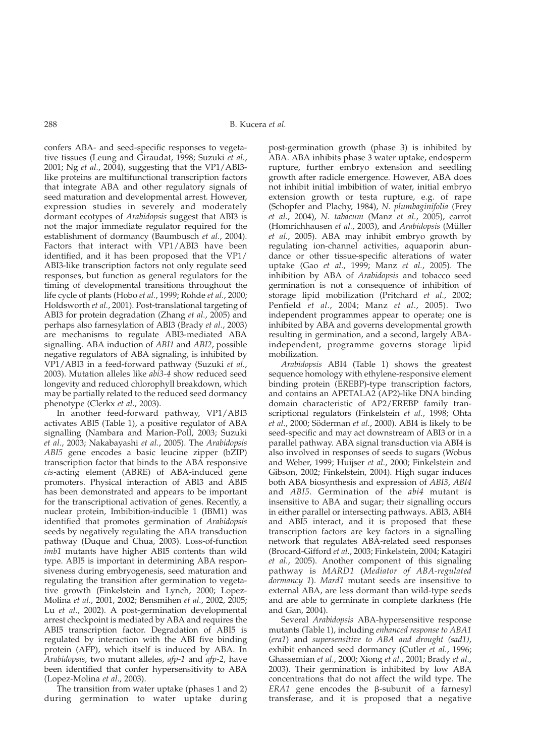confers ABA- and seed-specific responses to vegetative tissues (Leung and Giraudat, 1998; Suzuki et al., 2001; Ng et al., 2004), suggesting that the VP1/ABI3like proteins are multifunctional transcription factors that integrate ABA and other regulatory signals of seed maturation and developmental arrest. However, expression studies in severely and moderately dormant ecotypes of Arabidopsis suggest that ABI3 is not the major immediate regulator required for the establishment of dormancy (Baumbusch et al., 2004). Factors that interact with VP1/ABI3 have been identified, and it has been proposed that the VP1/ ABI3-like transcription factors not only regulate seed responses, but function as general regulators for the timing of developmental transitions throughout the life cycle of plants (Hobo et al., 1999; Rohde et al., 2000; Holdsworth et al., 2001). Post-translational targeting of ABI3 for protein degradation (Zhang et al., 2005) and perhaps also farnesylation of ABI3 (Brady et al., 2003) are mechanisms to regulate ABI3-mediated ABA signalling. ABA induction of ABI1 and ABI2, possible negative regulators of ABA signaling, is inhibited by VP1/ABI3 in a feed-forward pathway (Suzuki et al., 2003). Mutation alleles like abi3-4 show reduced seed longevity and reduced chlorophyll breakdown, which may be partially related to the reduced seed dormancy phenotype (Clerkx et al., 2003).

In another feed-forward pathway, VP1/ABI3 activates ABI5 ([Table 1](#page-3-0)), a positive regulator of ABA signalling (Nambara and Marion-Poll, 2003; Suzuki et al., 2003; Nakabayashi et al., 2005). The Arabidopsis ABI5 gene encodes a basic leucine zipper (bZIP) transcription factor that binds to the ABA responsive cis-acting element (ABRE) of ABA-induced gene promoters. Physical interaction of ABI3 and ABI5 has been demonstrated and appears to be important for the transcriptional activation of genes. Recently, a nuclear protein, Imbibition-inducible 1 (IBM1) was identified that promotes germination of Arabidopsis seeds by negatively regulating the ABA transduction pathway (Duque and Chua, 2003). Loss-of-function imb1 mutants have higher ABI5 contents than wild type. ABI5 is important in determining ABA responsiveness during embryogenesis, seed maturation and regulating the transition after germination to vegetative growth (Finkelstein and Lynch, 2000; Lopez-Molina et al., 2001, 2002; Bensmihen et al., 2002, 2005; Lu et al., 2002). A post-germination developmental arrest checkpoint is mediated by ABA and requires the ABI5 transcription factor. Degradation of ABI5 is regulated by interaction with the ABI five binding protein (AFP), which itself is induced by ABA. In Arabidopsis, two mutant alleles, afp-1 and afp-2, have been identified that confer hypersensitivity to ABA (Lopez-Molina et al., 2003).

The transition from water uptake (phases 1 and 2) during germination to water uptake during

post-germination growth (phase 3) is inhibited by ABA. ABA inhibits phase 3 water uptake, endosperm rupture, further embryo extension and seedling growth after radicle emergence. However, ABA does not inhibit initial imbibition of water, initial embryo extension growth or testa rupture, e.g. of rape (Schopfer and Plachy, 1984), N. plumbaginifolia (Frey et al., 2004), N. tabacum (Manz et al., 2005), carrot (Homrichhausen et al., 2003), and Arabidopsis (Müller et al., 2005). ABA may inhibit embryo growth by regulating ion-channel activities, aquaporin abundance or other tissue-specific alterations of water uptake (Gao et al., 1999; Manz et al., 2005). The inhibition by ABA of Arabidopsis and tobacco seed germination is not a consequence of inhibition of storage lipid mobilization (Pritchard et al., 2002; Penfield et al., 2004; Manz et al., 2005). Two independent programmes appear to operate; one is inhibited by ABA and governs developmental growth resulting in germination, and a second, largely ABAindependent, programme governs storage lipid mobilization.

Arabidopsis ABI4 [\(Table 1](#page-3-0)) shows the greatest sequence homology with ethylene-responsive element binding protein (EREBP)-type transcription factors, and contains an APETALA2 (AP2)-like DNA binding domain characteristic of AP2/EREBP family transcriptional regulators (Finkelstein et al., 1998; Ohta et al., 2000; Söderman et al., 2000). ABI4 is likely to be seed-specific and may act downstream of ABI3 or in a parallel pathway. ABA signal transduction via ABI4 is also involved in responses of seeds to sugars (Wobus and Weber, 1999; Huijser et al., 2000; Finkelstein and Gibson, 2002; Finkelstein, 2004). High sugar induces both ABA biosynthesis and expression of ABI3, ABI4 and ABI5. Germination of the abi4 mutant is insensitive to ABA and sugar; their signalling occurs in either parallel or intersecting pathways. ABI3, ABI4 and ABI5 interact, and it is proposed that these transcription factors are key factors in a signalling network that regulates ABA-related seed responses (Brocard-Gifford et al., 2003; Finkelstein, 2004; Katagiri et al., 2005). Another component of this signaling pathway is MARD1 (Mediator of ABA-regulated dormancy 1). Mard1 mutant seeds are insensitive to external ABA, are less dormant than wild-type seeds and are able to germinate in complete darkness (He and Gan, 2004).

Several Arabidopsis ABA-hypersensitive response mutants ([Table 1](#page-3-0)), including enhanced response to ABA1 (era1) and supersensitive to ABA and drought (sad1), exhibit enhanced seed dormancy (Cutler et al., 1996; Ghassemian et al., 2000; Xiong et al., 2001; Brady et al., 2003). Their germination is inhibited by low ABA concentrations that do not affect the wild type. The ERA1 gene encodes the  $\beta$ -subunit of a farnesyl transferase, and it is proposed that a negative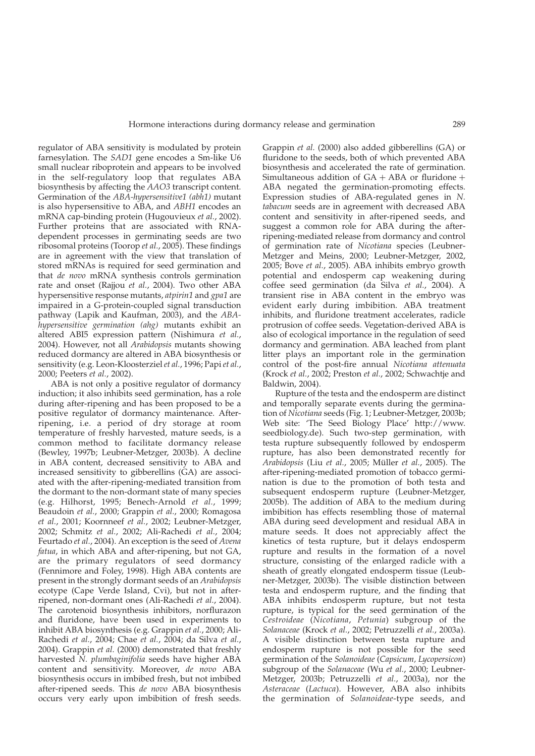regulator of ABA sensitivity is modulated by protein farnesylation. The SAD1 gene encodes a Sm-like U6 small nuclear riboprotein and appears to be involved in the self-regulatory loop that regulates ABA biosynthesis by affecting the AAO3 transcript content. Germination of the ABA-hypersensitive1 (abh1) mutant is also hypersensitive to ABA, and ABH1 encodes an mRNA cap-binding protein (Hugouvieux et al., 2002). Further proteins that are associated with RNAdependent processes in germinating seeds are two ribosomal proteins (Toorop et al., 2005). These findings are in agreement with the view that translation of stored mRNAs is required for seed germination and that de novo mRNA synthesis controls germination rate and onset (Rajjou et al., 2004). Two other ABA hypersensitive response mutants, atpirin1 and gpa1 are impaired in a G-protein-coupled signal transduction pathway (Lapik and Kaufman, 2003), and the ABAhypersensitive germination (ahg) mutants exhibit an altered ABI5 expression pattern (Nishimura et al., 2004). However, not all Arabidopsis mutants showing reduced dormancy are altered in ABA biosynthesis or sensitivity (e.g. Leon-Kloosterziel et al., 1996; Papi et al., 2000; Peeters et al., 2002).

ABA is not only a positive regulator of dormancy induction; it also inhibits seed germination, has a role during after-ripening and has been proposed to be a positive regulator of dormancy maintenance. Afterripening, i.e. a period of dry storage at room temperature of freshly harvested, mature seeds, is a common method to facilitate dormancy release (Bewley, 1997b; Leubner-Metzger, 2003b). A decline in ABA content, decreased sensitivity to ABA and increased sensitivity to gibberellins (GA) are associated with the after-ripening-mediated transition from the dormant to the non-dormant state of many species (e.g. Hilhorst, 1995; Benech-Arnold et al., 1999; Beaudoin et al., 2000; Grappin et al., 2000; Romagosa et al., 2001; Koornneef et al., 2002; Leubner-Metzger, 2002; Schmitz et al., 2002; Ali-Rachedi et al., 2004; Feurtado et al., 2004). An exception is the seed of Avena fatua, in which ABA and after-ripening, but not GA, are the primary regulators of seed dormancy (Fennimore and Foley, 1998). High ABA contents are present in the strongly dormant seeds of an Arabidopsis ecotype (Cape Verde Island, Cvi), but not in afterripened, non-dormant ones (Ali-Rachedi et al., 2004). The carotenoid biosynthesis inhibitors, norflurazon and fluridone, have been used in experiments to inhibit ABA biosynthesis (e.g. Grappin et al., 2000; Ali-Rachedi et al., 2004; Chae et al., 2004; da Silva et al., 2004). Grappin et al. (2000) demonstrated that freshly harvested N. plumbaginifolia seeds have higher ABA content and sensitivity. Moreover, de novo ABA biosynthesis occurs in imbibed fresh, but not imbibed after-ripened seeds. This de novo ABA biosynthesis occurs very early upon imbibition of fresh seeds. Grappin et al. (2000) also added gibberellins (GA) or fluridone to the seeds, both of which prevented ABA biosynthesis and accelerated the rate of germination. Simultaneous addition of  $GA + ABA$  or fluridone  $+$ ABA negated the germination-promoting effects. Expression studies of ABA-regulated genes in N. tabacum seeds are in agreement with decreased ABA content and sensitivity in after-ripened seeds, and suggest a common role for ABA during the afterripening-mediated release from dormancy and control of germination rate of Nicotiana species (Leubner-Metzger and Meins, 2000; Leubner-Metzger, 2002, 2005; Bove et al., 2005). ABA inhibits embryo growth potential and endosperm cap weakening during coffee seed germination (da Silva et al., 2004). A transient rise in ABA content in the embryo was evident early during imbibition. ABA treatment inhibits, and fluridone treatment accelerates, radicle protrusion of coffee seeds. Vegetation-derived ABA is also of ecological importance in the regulation of seed dormancy and germination. ABA leached from plant litter plays an important role in the germination control of the post-fire annual Nicotiana attenuata (Krock et al., 2002; Preston et al., 2002; Schwachtje and Baldwin, 2004).

Rupture of the testa and the endosperm are distinct and temporally separate events during the germination of Nicotiana seeds [\(Fig. 1](#page-1-0); Leubner-Metzger, 2003b; Web site: 'The Seed Biology Place' http://www. seedbiology.de). Such two-step germination, with testa rupture subsequently followed by endosperm rupture, has also been demonstrated recently for Arabidopsis (Liu et al., 2005; Müller et al., 2005). The after-ripening-mediated promotion of tobacco germination is due to the promotion of both testa and subsequent endosperm rupture (Leubner-Metzger, 2005b). The addition of ABA to the medium during imbibition has effects resembling those of maternal ABA during seed development and residual ABA in mature seeds. It does not appreciably affect the kinetics of testa rupture, but it delays endosperm rupture and results in the formation of a novel structure, consisting of the enlarged radicle with a sheath of greatly elongated endosperm tissue (Leubner-Metzger, 2003b). The visible distinction between testa and endosperm rupture, and the finding that ABA inhibits endosperm rupture, but not testa rupture, is typical for the seed germination of the Cestroideae (Nicotiana, Petunia) subgroup of the Solanaceae (Krock et al., 2002; Petruzzelli et al., 2003a). A visible distinction between testa rupture and endosperm rupture is not possible for the seed germination of the Solanoideae (Capsicum, Lycopersicon) subgroup of the Solanaceae (Wu et al., 2000; Leubner-Metzger, 2003b; Petruzzelli et al., 2003a), nor the Asteraceae (Lactuca). However, ABA also inhibits the germination of Solanoideae-type seeds, and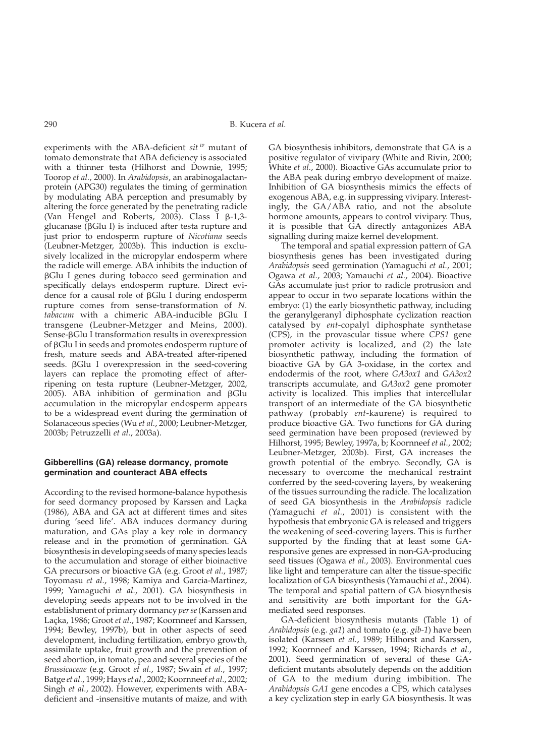experiments with the ABA-deficient  $s$ it  $w$  mutant of tomato demonstrate that ABA deficiency is associated with a thinner testa (Hilhorst and Downie, 1995; Toorop et al., 2000). In Arabidopsis, an arabinogalactanprotein (APG30) regulates the timing of germination by modulating ABA perception and presumably by altering the force generated by the penetrating radicle (Van Hengel and Roberts, 2003). Class I  $\beta$ -1,3glucanase ( $\beta$ Glu I) is induced after testa rupture and just prior to endosperm rupture of Nicotiana seeds (Leubner-Metzger, 2003b). This induction is exclusively localized in the micropylar endosperm where the radicle will emerge. ABA inhibits the induction of bGlu I genes during tobacco seed germination and specifically delays endosperm rupture. Direct evidence for a causal role of  $\beta$ Glu I during endosperm rupture comes from sense-transformation of N. tabacum with a chimeric ABA-inducible BGlu I transgene (Leubner-Metzger and Meins, 2000). Sense- $\beta$ Glu I transformation results in overexpression of  $\beta$ Glu I in seeds and promotes endosperm rupture of fresh, mature seeds and ABA-treated after-ripened seeds.  $\beta$ Glu I overexpression in the seed-covering layers can replace the promoting effect of afterripening on testa rupture (Leubner-Metzger, 2002, 2005). ABA inhibition of germination and  $\beta$ Glu accumulation in the micropylar endosperm appears to be a widespread event during the germination of Solanaceous species (Wu et al., 2000; Leubner-Metzger, 2003b; Petruzzelli et al., 2003a).

# Gibberellins (GA) release dormancy, promote germination and counteract ABA effects

According to the revised hormone-balance hypothesis for seed dormancy proposed by Karssen and Lacka (1986), ABA and GA act at different times and sites during 'seed life'. ABA induces dormancy during maturation, and GAs play a key role in dormancy release and in the promotion of germination. GA biosynthesis in developing seeds of many species leads to the accumulation and storage of either bioinactive GA precursors or bioactive GA (e.g. Groot et al., 1987; Toyomasu et al., 1998; Kamiya and Garcia-Martinez, 1999; Yamaguchi et al., 2001). GA biosynthesis in developing seeds appears not to be involved in the establishment of primary dormancy per se (Karssen and Laçka, 1986; Groot et al., 1987; Koornneef and Karssen, 1994; Bewley, 1997b), but in other aspects of seed development, including fertilization, embryo growth, assimilate uptake, fruit growth and the prevention of seed abortion, in tomato, pea and several species of the Brassicaceae (e.g. Groot et al., 1987; Swain et al., 1997; Batge et al., 1999; Hays et al., 2002; Koornneef et al., 2002; Singh et al., 2002). However, experiments with ABAdeficient and -insensitive mutants of maize, and with

GA biosynthesis inhibitors, demonstrate that GA is a positive regulator of vivipary (White and Rivin, 2000; White et al., 2000). Bioactive GAs accumulate prior to the ABA peak during embryo development of maize. Inhibition of GA biosynthesis mimics the effects of exogenous ABA, e.g. in suppressing vivipary. Interestingly, the GA/ABA ratio, and not the absolute hormone amounts, appears to control vivipary. Thus, it is possible that GA directly antagonizes ABA signalling during maize kernel development.

The temporal and spatial expression pattern of GA biosynthesis genes has been investigated during Arabidopsis seed germination (Yamaguchi et al., 2001; Ogawa et al., 2003; Yamauchi et al., 2004). Bioactive GAs accumulate just prior to radicle protrusion and appear to occur in two separate locations within the embryo: (1) the early biosynthetic pathway, including the geranylgeranyl diphosphate cyclization reaction catalysed by ent-copalyl diphosphate synthetase (CPS), in the provascular tissue where CPS1 gene promoter activity is localized, and (2) the late biosynthetic pathway, including the formation of bioactive GA by GA 3-oxidase, in the cortex and endodermis of the root, where GA3ox1 and GA3ox2 transcripts accumulate, and GA3ox2 gene promoter activity is localized. This implies that intercellular transport of an intermediate of the GA biosynthetic pathway (probably ent-kaurene) is required to produce bioactive GA. Two functions for GA during seed germination have been proposed (reviewed by Hilhorst, 1995; Bewley, 1997a, b; Koornneef et al., 2002; Leubner-Metzger, 2003b). First, GA increases the growth potential of the embryo. Secondly, GA is necessary to overcome the mechanical restraint conferred by the seed-covering layers, by weakening of the tissues surrounding the radicle. The localization of seed GA biosynthesis in the Arabidopsis radicle (Yamaguchi et al., 2001) is consistent with the hypothesis that embryonic GA is released and triggers the weakening of seed-covering layers. This is further supported by the finding that at least some GAresponsive genes are expressed in non-GA-producing seed tissues (Ogawa et al., 2003). Environmental cues like light and temperature can alter the tissue-specific localization of GA biosynthesis (Yamauchi et al., 2004). The temporal and spatial pattern of GA biosynthesis and sensitivity are both important for the GAmediated seed responses.

GA-deficient biosynthesis mutants ([Table 1\)](#page-3-0) of Arabidopsis (e.g. ga1) and tomato (e.g. gib-1) have been isolated (Karssen et al., 1989; Hilhorst and Karssen, 1992; Koornneef and Karssen, 1994; Richards et al., 2001). Seed germination of several of these GAdeficient mutants absolutely depends on the addition of GA to the medium during imbibition. The Arabidopsis GA1 gene encodes a CPS, which catalyses a key cyclization step in early GA biosynthesis. It was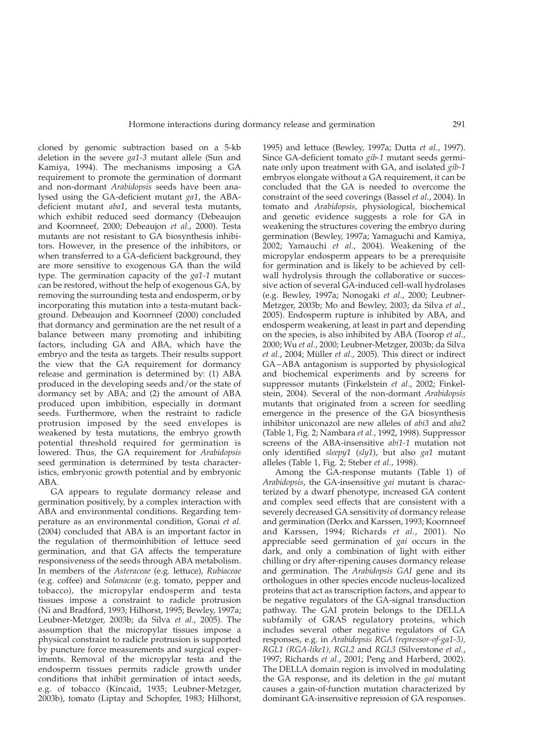cloned by genomic subtraction based on a 5-kb deletion in the severe ga1-3 mutant allele (Sun and Kamiya, 1994). The mechanisms imposing a GA requirement to promote the germination of dormant and non-dormant Arabidopsis seeds have been analysed using the GA-deficient mutant ga1, the ABAdeficient mutant *aba1*, and several testa mutants, which exhibit reduced seed dormancy (Debeaujon and Koornneef, 2000; Debeaujon *et al.,* 2000). Testa mutants are not resistant to GA biosynthesis inhibitors. However, in the presence of the inhibitors, or when transferred to a GA-deficient background, they are more sensitive to exogenous GA than the wild type. The germination capacity of the ga1-1 mutant can be restored, without the help of exogenous GA, by removing the surrounding testa and endosperm, or by incorporating this mutation into a testa-mutant background. Debeaujon and Koornneef (2000) concluded that dormancy and germination are the net result of a balance between many promoting and inhibiting factors, including GA and ABA, which have the embryo and the testa as targets. Their results support the view that the GA requirement for dormancy release and germination is determined by: (1) ABA produced in the developing seeds and/or the state of dormancy set by ABA; and (2) the amount of ABA produced upon imbibition, especially in dormant seeds. Furthermore, when the restraint to radicle protrusion imposed by the seed envelopes is weakened by testa mutations, the embryo growth potential threshold required for germination is lowered. Thus, the GA requirement for Arabidopsis seed germination is determined by testa characteristics, embryonic growth potential and by embryonic ABA.

GA appears to regulate dormancy release and germination positively, by a complex interaction with ABA and environmental conditions. Regarding temperature as an environmental condition, Gonai et al. (2004) concluded that ABA is an important factor in the regulation of thermoinhibition of lettuce seed germination, and that GA affects the temperature responsiveness of the seeds through ABA metabolism. In members of the Asteraceae (e.g. lettuce), Rubiaceae (e.g. coffee) and Solanaceae (e.g. tomato, pepper and tobacco), the micropylar endosperm and testa tissues impose a constraint to radicle protrusion (Ni and Bradford, 1993; Hilhorst, 1995; Bewley, 1997a; Leubner-Metzger, 2003b; da Silva et al., 2005). The assumption that the micropylar tissues impose a physical constraint to radicle protrusion is supported by puncture force measurements and surgical experiments. Removal of the micropylar testa and the endosperm tissues permits radicle growth under conditions that inhibit germination of intact seeds, e.g. of tobacco (Kincaid, 1935; Leubner-Metzger, 2003b), tomato (Liptay and Schopfer, 1983; Hilhorst, 1995) and lettuce (Bewley, 1997a; Dutta et al., 1997). Since GA-deficient tomato gib-1 mutant seeds germinate only upon treatment with GA, and isolated gib-1 embryos elongate without a GA requirement, it can be concluded that the GA is needed to overcome the constraint of the seed coverings (Bassel et al., 2004). In tomato and Arabidopsis, physiological, biochemical and genetic evidence suggests a role for GA in weakening the structures covering the embryo during germination (Bewley, 1997a; Yamaguchi and Kamiya, 2002; Yamauchi et al., 2004). Weakening of the micropylar endosperm appears to be a prerequisite for germination and is likely to be achieved by cellwall hydrolysis through the collaborative or successive action of several GA-induced cell-wall hydrolases (e.g. Bewley, 1997a; Nonogaki et al., 2000; Leubner-Metzger, 2003b; Mo and Bewley, 2003; da Silva et al., 2005). Endosperm rupture is inhibited by ABA, and endosperm weakening, at least in part and depending on the species, is also inhibited by ABA (Toorop et al., 2000; Wu et al., 2000; Leubner-Metzger, 2003b; da Silva et al., 2004; Müller et al., 2005). This direct or indirect GA–ABA antagonism is supported by physiological and biochemical experiments and by screens for suppressor mutants (Finkelstein et al., 2002; Finkelstein, 2004). Several of the non-dormant Arabidopsis mutants that originated from a screen for seedling emergence in the presence of the GA biosynthesis inhibitor uniconazol are new alleles of abi3 and aba2 [\(Table 1](#page-3-0), [Fig. 2](#page-2-0); Nambara et al., 1992, 1998). Suppressor screens of the ABA-insensitive abi1-1 mutation not only identified sleepy1 (sly1), but also ga1 mutant alleles [\(Table 1](#page-3-0), [Fig. 2](#page-2-0); Steber et al., 1998).

Among the GA-response mutants [\(Table 1](#page-3-0)) of Arabidopsis, the GA-insensitive gai mutant is characterized by a dwarf phenotype, increased GA content and complex seed effects that are consistent with a severely decreased GA sensitivity of dormancy release and germination (Derkx and Karssen, 1993; Koornneef and Karssen, 1994; Richards et al., 2001). No appreciable seed germination of gai occurs in the dark, and only a combination of light with either chilling or dry after-ripening causes dormancy release and germination. The Arabidopsis GAI gene and its orthologues in other species encode nucleus-localized proteins that act as transcription factors, and appear to be negative regulators of the GA-signal transduction pathway. The GAI protein belongs to the DELLA subfamily of GRAS regulatory proteins, which includes several other negative regulators of GA responses, e.g. in Arabidopsis RGA (repressor-of-ga1-3), RGL1 (RGA-like1), RGL2 and RGL3 (Silverstone et al., 1997; Richards et al., 2001; Peng and Harberd, 2002). The DELLA domain region is involved in modulating the GA response, and its deletion in the gai mutant causes a gain-of-function mutation characterized by dominant GA-insensitive repression of GA responses.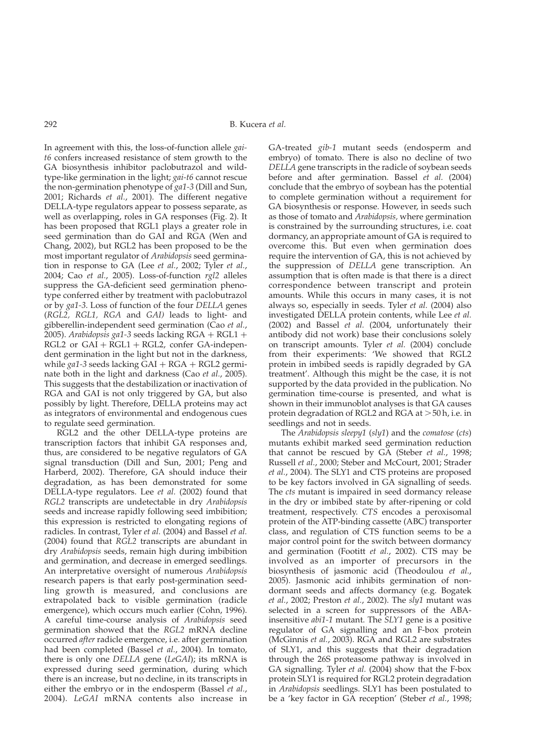In agreement with this, the loss-of-function allele gait6 confers increased resistance of stem growth to the GA biosynthesis inhibitor paclobutrazol and wildtype-like germination in the light; gai-t6 cannot rescue the non-germination phenotype of ga1-3 (Dill and Sun, 2001; Richards et al., 2001). The different negative DELLA-type regulators appear to possess separate, as well as overlapping, roles in GA responses [\(Fig. 2](#page-2-0)). It has been proposed that RGL1 plays a greater role in seed germination than do GAI and RGA (Wen and Chang, 2002), but RGL2 has been proposed to be the most important regulator of Arabidopsis seed germination in response to GA (Lee et al., 2002; Tyler et al., 2004; Cao et al., 2005). Loss-of-function rgl2 alleles suppress the GA-deficient seed germination phenotype conferred either by treatment with paclobutrazol or by ga1-3. Loss of function of the four DELLA genes (RGL2, RGL1, RGA and GAI) leads to light- and gibberellin-independent seed germination (Cao et al., 2005). Arabidopsis ga1-3 seeds lacking  $RGA + RGL1 +$  $RGL2$  or  $GAI + RGL1 + RGL2$ , confer  $GA$ -independent germination in the light but not in the darkness, while ga1-3 seeds lacking  $GAI + RGA + RGL2$  germinate both in the light and darkness (Cao et al., 2005). This suggests that the destabilization or inactivation of RGA and GAI is not only triggered by GA, but also possibly by light. Therefore, DELLA proteins may act as integrators of environmental and endogenous cues to regulate seed germination.

RGL2 and the other DELLA-type proteins are transcription factors that inhibit GA responses and, thus, are considered to be negative regulators of GA signal transduction (Dill and Sun, 2001; Peng and Harberd, 2002). Therefore, GA should induce their degradation, as has been demonstrated for some DELLA-type regulators. Lee et al. (2002) found that RGL2 transcripts are undetectable in dry Arabidopsis seeds and increase rapidly following seed imbibition; this expression is restricted to elongating regions of radicles. In contrast, Tyler et al. (2004) and Bassel et al. (2004) found that RGL2 transcripts are abundant in dry Arabidopsis seeds, remain high during imbibition and germination, and decrease in emerged seedlings. An interpretative oversight of numerous Arabidopsis research papers is that early post-germination seedling growth is measured, and conclusions are extrapolated back to visible germination (radicle emergence), which occurs much earlier (Cohn, 1996). A careful time-course analysis of Arabidopsis seed germination showed that the RGL2 mRNA decline occurred after radicle emergence, i.e. after germination had been completed (Bassel et al., 2004). In tomato, there is only one DELLA gene (LeGAI); its mRNA is expressed during seed germination, during which there is an increase, but no decline, in its transcripts in either the embryo or in the endosperm (Bassel et al., 2004). LeGAI mRNA contents also increase in

GA-treated gib-1 mutant seeds (endosperm and embryo) of tomato. There is also no decline of two DELLA gene transcripts in the radicle of soybean seeds before and after germination. Bassel et al. (2004) conclude that the embryo of soybean has the potential to complete germination without a requirement for GA biosynthesis or response. However, in seeds such as those of tomato and Arabidopsis, where germination is constrained by the surrounding structures, i.e. coat dormancy, an appropriate amount of GA is required to overcome this. But even when germination does require the intervention of GA, this is not achieved by the suppression of DELLA gene transcription. An assumption that is often made is that there is a direct correspondence between transcript and protein amounts. While this occurs in many cases, it is not always so, especially in seeds. Tyler et al. (2004) also investigated DELLA protein contents, while Lee et al. (2002) and Bassel et al. (2004, unfortunately their antibody did not work) base their conclusions solely on transcript amounts. Tyler et al. (2004) conclude from their experiments: 'We showed that RGL2 protein in imbibed seeds is rapidly degraded by GA treatment'. Although this might be the case, it is not supported by the data provided in the publication. No germination time-course is presented, and what is shown in their immunoblot analyses is that GA causes protein degradation of RGL2 and RGA at  $>50$  h, i.e. in seedlings and not in seeds.

The Arabidopsis sleepy1 (sly1) and the comatose (cts) mutants exhibit marked seed germination reduction that cannot be rescued by GA (Steber et al., 1998; Russell et al., 2000; Steber and McCourt, 2001; Strader et al., 2004). The SLY1 and CTS proteins are proposed to be key factors involved in GA signalling of seeds. The *cts* mutant is impaired in seed dormancy release in the dry or imbibed state by after-ripening or cold treatment, respectively. CTS encodes a peroxisomal protein of the ATP-binding cassette (ABC) transporter class, and regulation of CTS function seems to be a major control point for the switch between dormancy and germination (Footitt et al., 2002). CTS may be involved as an importer of precursors in the biosynthesis of jasmonic acid (Theodoulou et al., 2005). Jasmonic acid inhibits germination of nondormant seeds and affects dormancy (e.g. Bogatek et al., 2002; Preston et al., 2002). The sly1 mutant was selected in a screen for suppressors of the ABAinsensitive abi1-1 mutant. The SLY1 gene is a positive regulator of GA signalling and an F-box protein (McGinnis et al., 2003). RGA and RGL2 are substrates of SLY1, and this suggests that their degradation through the 26S proteasome pathway is involved in GA signalling. Tyler et al. (2004) show that the F-box protein SLY1 is required for RGL2 protein degradation in Arabidopsis seedlings. SLY1 has been postulated to be a 'key factor in GA reception' (Steber et al., 1998;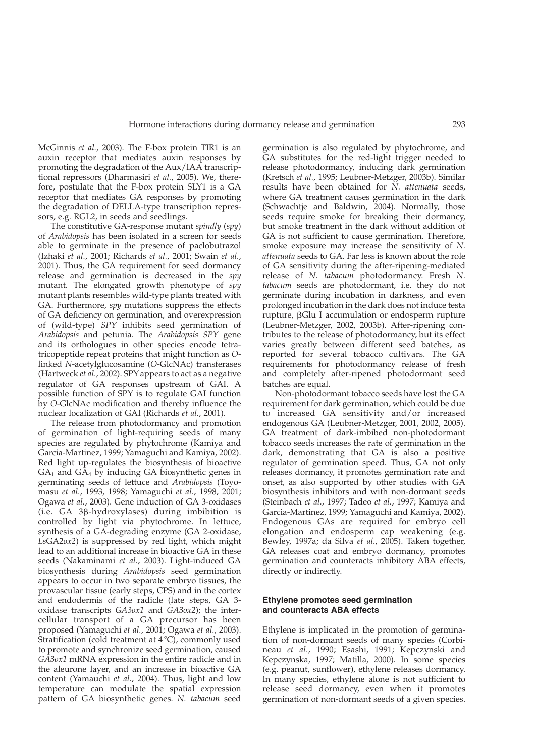McGinnis et al., 2003). The F-box protein TIR1 is an auxin receptor that mediates auxin responses by promoting the degradation of the Aux/IAA transcriptional repressors (Dharmasiri et al., 2005). We, therefore, postulate that the F-box protein SLY1 is a GA receptor that mediates GA responses by promoting the degradation of DELLA-type transcription repressors, e.g. RGL2, in seeds and seedlings.

The constitutive GA-response mutant spindly (spy) of Arabidopsis has been isolated in a screen for seeds able to germinate in the presence of paclobutrazol (Izhaki et al., 2001; Richards et al., 2001; Swain et al., 2001). Thus, the GA requirement for seed dormancy release and germination is decreased in the spy mutant. The elongated growth phenotype of spy mutant plants resembles wild-type plants treated with GA. Furthermore, spy mutations suppress the effects of GA deficiency on germination, and overexpression of (wild-type) SPY inhibits seed germination of Arabidopsis and petunia. The Arabidopsis SPY gene and its orthologues in other species encode tetratricopeptide repeat proteins that might function as Olinked N-acetylglucosamine (O-GlcNAc) transferases (Hartweck et al., 2002). SPY appears to act as a negative regulator of GA responses upstream of GAI. A possible function of SPY is to regulate GAI function by O-GlcNAc modification and thereby influence the nuclear localization of GAI (Richards et al., 2001).

The release from photodormancy and promotion of germination of light-requiring seeds of many species are regulated by phytochrome (Kamiya and Garcia-Martinez, 1999; Yamaguchi and Kamiya, 2002). Red light up-regulates the biosynthesis of bioactive  $GA<sub>1</sub>$  and  $GA<sub>4</sub>$  by inducing GA biosynthetic genes in germinating seeds of lettuce and Arabidopsis (Toyomasu et al., 1993, 1998; Yamaguchi et al., 1998, 2001; Ogawa et al., 2003). Gene induction of GA 3-oxidases (i.e. GA 3b-hydroxylases) during imbibition is controlled by light via phytochrome. In lettuce, synthesis of a GA-degrading enzyme (GA 2-oxidase, LsGA2ox2) is suppressed by red light, which might lead to an additional increase in bioactive GA in these seeds (Nakaminami et al., 2003). Light-induced GA biosynthesis during Arabidopsis seed germination appears to occur in two separate embryo tissues, the provascular tissue (early steps, CPS) and in the cortex and endodermis of the radicle (late steps, GA 3 oxidase transcripts GA3ox1 and GA3ox2); the intercellular transport of a GA precursor has been proposed (Yamaguchi et al., 2001; Ogawa et al., 2003). Stratification (cold treatment at  $4^{\circ}$ C), commonly used to promote and synchronize seed germination, caused GA3ox1 mRNA expression in the entire radicle and in the aleurone layer, and an increase in bioactive GA content (Yamauchi et al., 2004). Thus, light and low temperature can modulate the spatial expression pattern of GA biosynthetic genes. N. tabacum seed germination is also regulated by phytochrome, and GA substitutes for the red-light trigger needed to release photodormancy, inducing dark germination (Kretsch et al., 1995; Leubner-Metzger, 2003b). Similar results have been obtained for  $\breve{N}$ . attenuata seeds, where GA treatment causes germination in the dark (Schwachtje and Baldwin, 2004). Normally, those seeds require smoke for breaking their dormancy, but smoke treatment in the dark without addition of GA is not sufficient to cause germination. Therefore, smoke exposure may increase the sensitivity of N. attenuata seeds to GA. Far less is known about the role of GA sensitivity during the after-ripening-mediated release of N. tabacum photodormancy. Fresh N. tabacum seeds are photodormant, i.e. they do not germinate during incubation in darkness, and even prolonged incubation in the dark does not induce testa rupture, βGlu I accumulation or endosperm rupture (Leubner-Metzger, 2002, 2003b). After-ripening contributes to the release of photodormancy, but its effect varies greatly between different seed batches, as reported for several tobacco cultivars. The GA requirements for photodormancy release of fresh and completely after-ripened photodormant seed batches are equal.

Non-photodormant tobacco seeds have lost the GA requirement for dark germination, which could be due to increased GA sensitivity and/or increased endogenous GA (Leubner-Metzger, 2001, 2002, 2005). GA treatment of dark-imbibed non-photodormant tobacco seeds increases the rate of germination in the dark, demonstrating that GA is also a positive regulator of germination speed. Thus, GA not only releases dormancy, it promotes germination rate and onset, as also supported by other studies with GA biosynthesis inhibitors and with non-dormant seeds (Steinbach et al., 1997; Tadeo et al., 1997; Kamiya and Garcia-Martinez, 1999; Yamaguchi and Kamiya, 2002). Endogenous GAs are required for embryo cell elongation and endosperm cap weakening (e.g. Bewley, 1997a; da Silva et al., 2005). Taken together, GA releases coat and embryo dormancy, promotes germination and counteracts inhibitory ABA effects, directly or indirectly.

# Ethylene promotes seed germination and counteracts ABA effects

Ethylene is implicated in the promotion of germination of non-dormant seeds of many species (Corbineau et al., 1990; Esashi, 1991; Kepczynski and Kepczynska, 1997; Matilla, 2000). In some species (e.g. peanut, sunflower), ethylene releases dormancy. In many species, ethylene alone is not sufficient to release seed dormancy, even when it promotes germination of non-dormant seeds of a given species.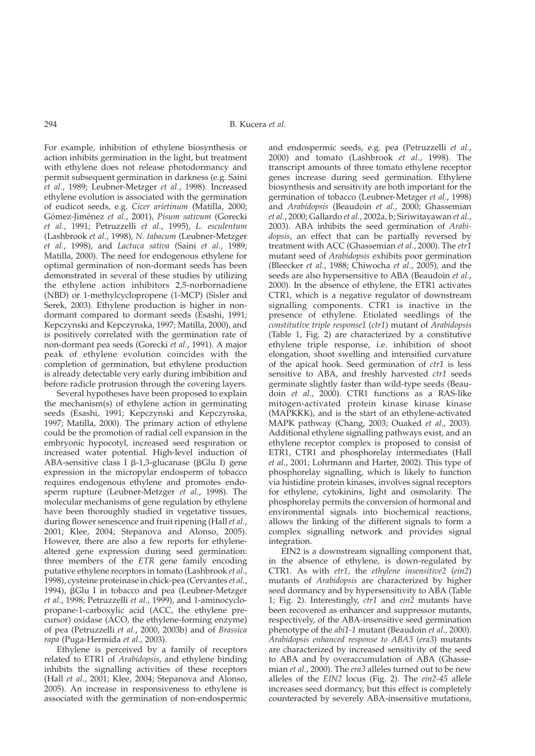For example, inhibition of ethylene biosynthesis or action inhibits germination in the light, but treatment with ethylene does not release photodormancy and permit subsequent germination in darkness (e.g. Saini et al., 1989; Leubner-Metzger et al., 1998). Increased ethylene evolution is associated with the germination of eudicot seeds, e.g. Cicer arietinum (Matilla, 2000; Gómez-Jiménez *et al.,* 2001), Pisum sativum (Gorecki et al., 1991; Petruzzelli et al., 1995), L. esculentum (Lashbrook et al., 1998), N. tabacum (Leubner-Metzger et al., 1998), and Lactuca sativa (Saini et al., 1989; Matilla, 2000). The need for endogenous ethylene for optimal germination of non-dormant seeds has been demonstrated in several of these studies by utilizing the ethylene action inhibitors 2,5-norbornadiene (NBD) or 1-methylcyclopropene (1-MCP) (Sisler and Serek, 2003). Ethylene production is higher in nondormant compared to dormant seeds (Esashi, 1991; Kepczynski and Kepczynska, 1997; Matilla, 2000), and is positively correlated with the germination rate of non-dormant pea seeds (Gorecki et al., 1991). A major peak of ethylene evolution coincides with the completion of germination, but ethylene production is already detectable very early during imbibition and before radicle protrusion through the covering layers.

Several hypotheses have been proposed to explain the mechanism(s) of ethylene action in germinating seeds (Esashi, 1991; Kepczynski and Kepczynska, 1997; Matilla, 2000). The primary action of ethylene could be the promotion of radial cell expansion in the embryonic hypocotyl, increased seed respiration or increased water potential. High-level induction of ABA-sensitive class I  $\beta$ -1,3-glucanase ( $\beta$ Glu I) gene expression in the micropylar endosperm of tobacco requires endogenous ethylene and promotes endosperm rupture (Leubner-Metzger et al., 1998). The molecular mechanisms of gene regulation by ethylene have been thoroughly studied in vegetative tissues, during flower senescence and fruit ripening (Hall et al., 2001; Klee, 2004; Stepanova and Alonso, 2005). However, there are also a few reports for ethylenealtered gene expression during seed germination: three members of the ETR gene family encoding putative ethylene receptors in tomato (Lashbrook et al., 1998), cysteine proteinase in chick-pea (Cervantes et al., 1994),  $\beta$ Glu I in tobacco and pea (Leubner-Metzger et al., 1998; Petruzzelli et al., 1999), and 1-aminocyclopropane-1-carboxylic acid (ACC, the ethylene precursor) oxidase (ACO, the ethylene-forming enzyme) of pea (Petruzzelli et al., 2000, 2003b) and of Brassica rapa (Puga-Hermida et al., 2003).

Ethylene is perceived by a family of receptors related to ETR1 of Arabidopsis, and ethylene binding inhibits the signalling activities of these receptors (Hall et al., 2001; Klee, 2004; Stepanova and Alonso, 2005). An increase in responsiveness to ethylene is associated with the germination of non-endospermic

and endospermic seeds, e.g. pea (Petruzzelli et al., 2000) and tomato (Lashbrook et al., 1998). The transcript amounts of three tomato ethylene receptor genes increase during seed germination. Ethylene biosynthesis and sensitivity are both important for the germination of tobacco (Leubner-Metzger et al., 1998) and Arabidopsis (Beaudoin et al., 2000; Ghassemian et al., 2000; Gallardo et al., 2002a, b; Siriwitayawan et al., 2003). ABA inhibits the seed germination of Arabidopsis, an effect that can be partially reversed by treatment with ACC (Ghassemian et al., 2000). The etr1 mutant seed of Arabidopsis exhibits poor germination (Bleecker et al., 1988; Chiwocha et al., 2005), and the seeds are also hypersensitive to ABA (Beaudoin et al., 2000). In the absence of ethylene, the ETR1 activates CTR1, which is a negative regulator of downstream signalling components. CTR1 is inactive in the presence of ethylene. Etiolated seedlings of the constitutive triple response1 (ctr1) mutant of Arabidopsis ([Table 1](#page-3-0), [Fig. 2](#page-2-0)) are characterized by a constitutive ethylene triple response, i.e. inhibition of shoot elongation, shoot swelling and intensified curvature of the apical hook. Seed germination of ctr1 is less sensitive to ABA, and freshly harvested ctr1 seeds germinate slightly faster than wild-type seeds (Beaudoin et al., 2000). CTR1 functions as a RAS-like mitogen-activated protein kinase kinase kinase (MAPKKK), and is the start of an ethylene-activated MAPK pathway (Chang, 2003; Ouaked et al., 2003). Additional ethylene signalling pathways exist, and an ethylene receptor complex is proposed to consist of ETR1, CTR1 and phosphorelay intermediates (Hall et al., 2001; Lohrmann and Harter, 2002). This type of phosphorelay signalling, which is likely to function via histidine protein kinases, involves signal receptors for ethylene, cytokinins, light and osmolarity. The phosphorelay permits the conversion of hormonal and environmental signals into biochemical reactions, allows the linking of the different signals to form a complex signalling network and provides signal integration.

EIN2 is a downstream signalling component that, in the absence of ethylene, is down-regulated by CTR1. As with etr1, the ethylene insensitive2 (ein2) mutants of Arabidopsis are characterized by higher seed dormancy and by hypersensitivity to ABA [\(Table](#page-3-0) [1](#page-3-0); [Fig. 2](#page-2-0)). Interestingly, ctr1 and ein2 mutants have been recovered as enhancer and suppressor mutants, respectively, of the ABA-insensitive seed germination phenotype of the abi1-1 mutant (Beaudoin et al., 2000). Arabidopsis enhanced response to ABA3 (era3) mutants are characterized by increased sensitivity of the seed to ABA and by overaccumulation of ABA (Ghassemian et al., 2000). The era3 alleles turned out to be new alleles of the EIN2 locus [\(Fig. 2\)](#page-2-0). The ein2-45 allele increases seed dormancy, but this effect is completely counteracted by severely ABA-insensitive mutations,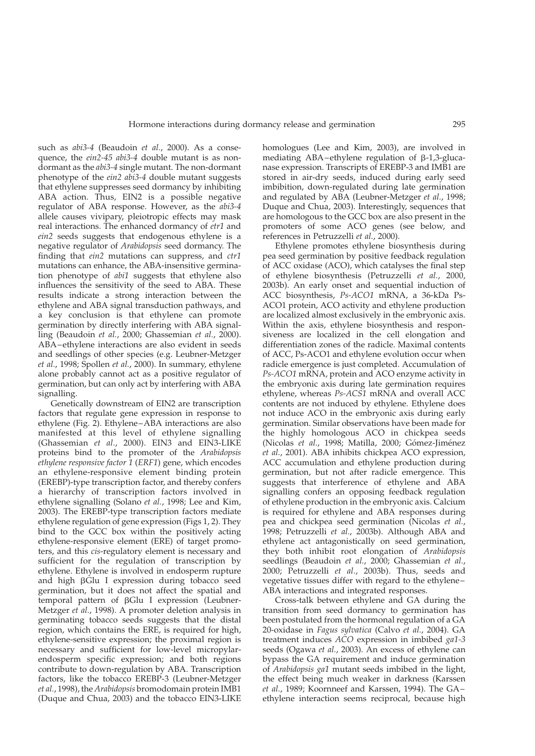such as abi3-4 (Beaudoin et al., 2000). As a consequence, the ein2-45 abi3-4 double mutant is as nondormant as the abi3-4 single mutant. The non-dormant phenotype of the *ein2 abi3-4* double mutant suggests that ethylene suppresses seed dormancy by inhibiting ABA action. Thus, EIN2 is a possible negative regulator of ABA response. However, as the abi3-4 allele causes vivipary, pleiotropic effects may mask real interactions. The enhanced dormancy of etr1 and ein2 seeds suggests that endogenous ethylene is a negative regulator of Arabidopsis seed dormancy. The finding that ein2 mutations can suppress, and ctr1 mutations can enhance, the ABA-insensitive germination phenotype of abi1 suggests that ethylene also influences the sensitivity of the seed to ABA. These results indicate a strong interaction between the ethylene and ABA signal transduction pathways, and a key conclusion is that ethylene can promote germination by directly interfering with ABA signalling (Beaudoin et al., 2000; Ghassemian et al., 2000). ABA–ethylene interactions are also evident in seeds and seedlings of other species (e.g. Leubner-Metzger et al., 1998; Spollen et al., 2000). In summary, ethylene alone probably cannot act as a positive regulator of germination, but can only act by interfering with ABA signalling.

Genetically downstream of EIN2 are transcription factors that regulate gene expression in response to ethylene [\(Fig. 2\)](#page-2-0). Ethylene–ABA interactions are also manifested at this level of ethylene signalling (Ghassemian et al., 2000). EIN3 and EIN3-LIKE proteins bind to the promoter of the Arabidopsis ethylene responsive factor 1 (ERF1) gene, which encodes an ethylene-responsive element binding protein (EREBP)-type transcription factor, and thereby confers a hierarchy of transcription factors involved in ethylene signalling (Solano et al., 1998; Lee and Kim, 2003). The EREBP-type transcription factors mediate ethylene regulation of gene expression ([Figs 1, 2\)](#page-1-0). They bind to the GCC box within the positively acting ethylene-responsive element (ERE) of target promoters, and this cis-regulatory element is necessary and sufficient for the regulation of transcription by ethylene. Ethylene is involved in endosperm rupture and high  $\beta$ Glu I expression during tobacco seed germination, but it does not affect the spatial and temporal pattern of  $\beta$ Glu I expression (Leubner-Metzger et al., 1998). A promoter deletion analysis in germinating tobacco seeds suggests that the distal region, which contains the ERE, is required for high, ethylene-sensitive expression; the proximal region is necessary and sufficient for low-level micropylarendosperm specific expression; and both regions contribute to down-regulation by ABA. Transcription factors, like the tobacco EREBP-3 (Leubner-Metzger et al., 1998), the Arabidopsis bromodomain protein IMB1 (Duque and Chua, 2003) and the tobacco EIN3-LIKE homologues (Lee and Kim, 2003), are involved in mediating ABA–ethylene regulation of  $\beta$ -1,3-glucanase expression. Transcripts of EREBP-3 and IMB1 are stored in air-dry seeds, induced during early seed imbibition, down-regulated during late germination and regulated by ABA (Leubner-Metzger et al., 1998; Duque and Chua, 2003). Interestingly, sequences that are homologous to the GCC box are also present in the promoters of some ACO genes (see below, and references in Petruzzelli et al., 2000).

Ethylene promotes ethylene biosynthesis during pea seed germination by positive feedback regulation of ACC oxidase (ACO), which catalyses the final step of ethylene biosynthesis (Petruzzelli et al., 2000, 2003b). An early onset and sequential induction of ACC biosynthesis, Ps-ACO1 mRNA, a 36-kDa Ps-ACO1 protein, ACO activity and ethylene production are localized almost exclusively in the embryonic axis. Within the axis, ethylene biosynthesis and responsiveness are localized in the cell elongation and differentiation zones of the radicle. Maximal contents of ACC, Ps-ACO1 and ethylene evolution occur when radicle emergence is just completed. Accumulation of Ps-ACO1 mRNA, protein and ACO enzyme activity in the embryonic axis during late germination requires ethylene, whereas Ps-ACS1 mRNA and overall ACC contents are not induced by ethylene. Ethylene does not induce ACO in the embryonic axis during early germination. Similar observations have been made for the highly homologous ACO in chickpea seeds (Nicolas et al., 1998; Matilla, 2000; Gómez-Jiménez et al., 2001). ABA inhibits chickpea ACO expression, ACC accumulation and ethylene production during germination, but not after radicle emergence. This suggests that interference of ethylene and ABA signalling confers an opposing feedback regulation of ethylene production in the embryonic axis. Calcium is required for ethylene and ABA responses during pea and chickpea seed germination (Nicolas et al., 1998; Petruzzelli et al., 2003b). Although ABA and ethylene act antagonistically on seed germination, they both inhibit root elongation of Arabidopsis seedlings (Beaudoin et al., 2000; Ghassemian et al., 2000; Petruzzelli et al., 2003b). Thus, seeds and vegetative tissues differ with regard to the ethylene– ABA interactions and integrated responses.

Cross-talk between ethylene and GA during the transition from seed dormancy to germination has been postulated from the hormonal regulation of a GA 20-oxidase in Fagus sylvatica (Calvo et al., 2004). GA treatment induces ACO expression in imbibed ga1-3 seeds (Ogawa et al., 2003). An excess of ethylene can bypass the GA requirement and induce germination of Arabidopsis ga1 mutant seeds imbibed in the light, the effect being much weaker in darkness (Karssen et al., 1989; Koornneef and Karssen, 1994). The GA– ethylene interaction seems reciprocal, because high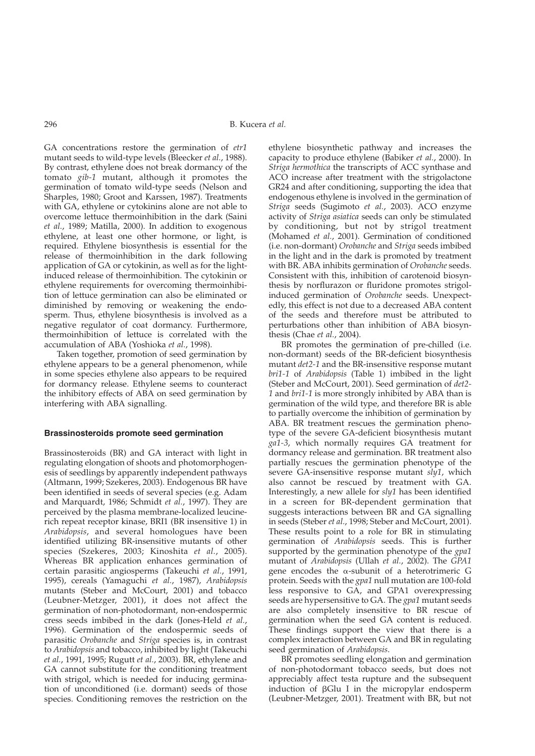GA concentrations restore the germination of etr1 mutant seeds to wild-type levels (Bleecker et al., 1988). By contrast, ethylene does not break dormancy of the tomato gib-1 mutant, although it promotes the germination of tomato wild-type seeds (Nelson and Sharples, 1980; Groot and Karssen, 1987). Treatments with GA, ethylene or cytokinins alone are not able to overcome lettuce thermoinhibition in the dark (Saini et al., 1989; Matilla, 2000). In addition to exogenous ethylene, at least one other hormone, or light, is required. Ethylene biosynthesis is essential for the release of thermoinhibition in the dark following application of GA or cytokinin, as well as for the lightinduced release of thermoinhibition. The cytokinin or ethylene requirements for overcoming thermoinhibition of lettuce germination can also be eliminated or diminished by removing or weakening the endosperm. Thus, ethylene biosynthesis is involved as a negative regulator of coat dormancy. Furthermore, thermoinhibition of lettuce is correlated with the accumulation of ABA (Yoshioka et al., 1998).

Taken together, promotion of seed germination by ethylene appears to be a general phenomenon, while in some species ethylene also appears to be required for dormancy release. Ethylene seems to counteract the inhibitory effects of ABA on seed germination by interfering with ABA signalling.

#### Brassinosteroids promote seed germination

Brassinosteroids (BR) and GA interact with light in regulating elongation of shoots and photomorphogenesis of seedlings by apparently independent pathways (Altmann, 1999; Szekeres, 2003). Endogenous BR have been identified in seeds of several species (e.g. Adam and Marquardt, 1986; Schmidt et al., 1997). They are perceived by the plasma membrane-localized leucinerich repeat receptor kinase, BRI1 (BR insensitive 1) in Arabidopsis, and several homologues have been identified utilizing BR-insensitive mutants of other species (Szekeres, 2003; Kinoshita et al., 2005). Whereas BR application enhances germination of certain parasitic angiosperms (Takeuchi et al., 1991, 1995), cereals (Yamaguchi et al., 1987), Arabidopsis mutants (Steber and McCourt, 2001) and tobacco (Leubner-Metzger, 2001), it does not affect the germination of non-photodormant, non-endospermic cress seeds imbibed in the dark (Jones-Held et al., 1996). Germination of the endospermic seeds of parasitic Orobanche and Striga species is, in contrast to Arabidopsis and tobacco, inhibited by light (Takeuchi et al., 1991, 1995; Rugutt et al., 2003). BR, ethylene and GA cannot substitute for the conditioning treatment with strigol, which is needed for inducing germination of unconditioned (i.e. dormant) seeds of those species. Conditioning removes the restriction on the

ethylene biosynthetic pathway and increases the capacity to produce ethylene (Babiker et al., 2000). In Striga hermothica the transcripts of ACC synthase and ACO increase after treatment with the strigolactone GR24 and after conditioning, supporting the idea that endogenous ethylene is involved in the germination of Striga seeds (Sugimoto et al., 2003). ACO enzyme activity of Striga asiatica seeds can only be stimulated by conditioning, but not by strigol treatment (Mohamed et al., 2001). Germination of conditioned (i.e. non-dormant) Orobanche and Striga seeds imbibed in the light and in the dark is promoted by treatment with BR. ABA inhibits germination of Orobanche seeds. Consistent with this, inhibition of carotenoid biosynthesis by norflurazon or fluridone promotes strigolinduced germination of Orobanche seeds. Unexpectedly, this effect is not due to a decreased ABA content of the seeds and therefore must be attributed to perturbations other than inhibition of ABA biosynthesis (Chae et al., 2004).

BR promotes the germination of pre-chilled (i.e. non-dormant) seeds of the BR-deficient biosynthesis mutant det2-1 and the BR-insensitive response mutant bri1-1 of Arabidopsis ([Table 1\)](#page-3-0) imbibed in the light (Steber and McCourt, 2001). Seed germination of det2- 1 and bri1-1 is more strongly inhibited by ABA than is germination of the wild type, and therefore BR is able to partially overcome the inhibition of germination by ABA. BR treatment rescues the germination phenotype of the severe GA-deficient biosynthesis mutant ga1-3, which normally requires GA treatment for dormancy release and germination. BR treatment also partially rescues the germination phenotype of the severe GA-insensitive response mutant sly1, which also cannot be rescued by treatment with GA. Interestingly, a new allele for sly1 has been identified in a screen for BR-dependent germination that suggests interactions between BR and GA signalling in seeds (Steber et al., 1998; Steber and McCourt, 2001). These results point to a role for BR in stimulating germination of Arabidopsis seeds. This is further supported by the germination phenotype of the *gpa1* mutant of Arabidopsis (Ullah et al., 2002). The GPA1 gene encodes the  $\alpha$ -subunit of a heterotrimeric G protein. Seeds with the gpa1 null mutation are 100-fold less responsive to GA, and GPA1 overexpressing seeds are hypersensitive to GA. The gpa1 mutant seeds are also completely insensitive to BR rescue of germination when the seed GA content is reduced. These findings support the view that there is a complex interaction between GA and BR in regulating seed germination of Arabidopsis.

BR promotes seedling elongation and germination of non-photodormant tobacco seeds, but does not appreciably affect testa rupture and the subsequent induction of  $\beta$ Glu I in the micropylar endosperm (Leubner-Metzger, 2001). Treatment with BR, but not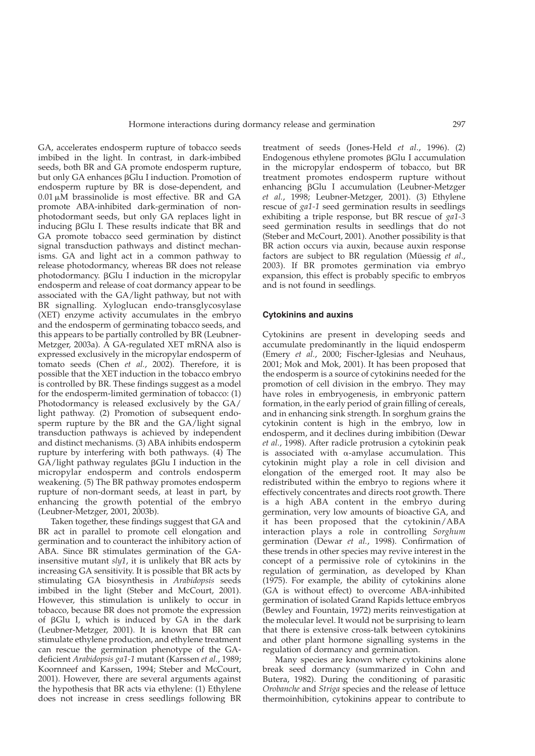GA, accelerates endosperm rupture of tobacco seeds imbibed in the light. In contrast, in dark-imbibed seeds, both BR and GA promote endosperm rupture, but only GA enhances  $\beta$ Glu I induction. Promotion of endosperm rupture by BR is dose-dependent, and  $0.01 \mu M$  brassinolide is most effective. BR and GA promote ABA-inhibited dark-germination of nonphotodormant seeds, but only GA replaces light in inducing bGlu I. These results indicate that BR and GA promote tobacco seed germination by distinct signal transduction pathways and distinct mechanisms. GA and light act in a common pathway to release photodormancy, whereas BR does not release photodormancy.  $\beta$ Glu I induction in the micropylar endosperm and release of coat dormancy appear to be associated with the GA/light pathway, but not with BR signalling. Xyloglucan endo-transglycosylase (XET) enzyme activity accumulates in the embryo and the endosperm of germinating tobacco seeds, and this appears to be partially controlled by BR (Leubner-Metzger, 2003a). A GA-regulated XET mRNA also is expressed exclusively in the micropylar endosperm of tomato seeds (Chen et al., 2002). Therefore, it is possible that the XET induction in the tobacco embryo is controlled by BR. These findings suggest as a model for the endosperm-limited germination of tobacco: (1) Photodormancy is released exclusively by the GA/ light pathway. (2) Promotion of subsequent endosperm rupture by the BR and the GA/light signal transduction pathways is achieved by independent and distinct mechanisms. (3) ABA inhibits endosperm rupture by interfering with both pathways. (4) The  $GA/light$  pathway regulates  $\beta$ Glu I induction in the micropylar endosperm and controls endosperm weakening. (5) The BR pathway promotes endosperm rupture of non-dormant seeds, at least in part, by enhancing the growth potential of the embryo (Leubner-Metzger, 2001, 2003b).

Taken together, these findings suggest that GA and BR act in parallel to promote cell elongation and germination and to counteract the inhibitory action of ABA. Since BR stimulates germination of the GAinsensitive mutant sly1, it is unlikely that BR acts by increasing GA sensitivity. It is possible that BR acts by stimulating GA biosynthesis in Arabidopsis seeds imbibed in the light (Steber and McCourt, 2001). However, this stimulation is unlikely to occur in tobacco, because BR does not promote the expression of  $\beta$ Glu I, which is induced by GA in the dark (Leubner-Metzger, 2001). It is known that BR can stimulate ethylene production, and ethylene treatment can rescue the germination phenotype of the GAdeficient Arabidopsis ga1-1 mutant (Karssen et al., 1989; Koornneef and Karssen, 1994; Steber and McCourt, 2001). However, there are several arguments against the hypothesis that BR acts via ethylene: (1) Ethylene does not increase in cress seedlings following BR treatment of seeds (Jones-Held et al., 1996). (2) Endogenous ethylene promotes  $\beta$ Glu I accumulation in the micropylar endosperm of tobacco, but BR treatment promotes endosperm rupture without enhancing  $\beta$ Glu I accumulation (Leubner-Metzger et al., 1998; Leubner-Metzger, 2001). (3) Ethylene rescue of ga1-1 seed germination results in seedlings exhibiting a triple response, but BR rescue of ga1-3 seed germination results in seedlings that do not (Steber and McCourt, 2001). Another possibility is that BR action occurs via auxin, because auxin response factors are subject to BR regulation (Müessig et al., 2003). If BR promotes germination via embryo expansion, this effect is probably specific to embryos and is not found in seedlings.

### Cytokinins and auxins

Cytokinins are present in developing seeds and accumulate predominantly in the liquid endosperm (Emery et al., 2000; Fischer-Iglesias and Neuhaus, 2001; Mok and Mok, 2001). It has been proposed that the endosperm is a source of cytokinins needed for the promotion of cell division in the embryo. They may have roles in embryogenesis, in embryonic pattern formation, in the early period of grain filling of cereals, and in enhancing sink strength. In sorghum grains the cytokinin content is high in the embryo, low in endosperm, and it declines during imbibition (Dewar et al., 1998). After radicle protrusion a cytokinin peak is associated with  $\alpha$ -amylase accumulation. This cytokinin might play a role in cell division and elongation of the emerged root. It may also be redistributed within the embryo to regions where it effectively concentrates and directs root growth. There is a high ABA content in the embryo during germination, very low amounts of bioactive GA, and it has been proposed that the cytokinin/ABA interaction plays a role in controlling Sorghum germination (Dewar et al., 1998). Confirmation of these trends in other species may revive interest in the concept of a permissive role of cytokinins in the regulation of germination, as developed by Khan (1975). For example, the ability of cytokinins alone (GA is without effect) to overcome ABA-inhibited germination of isolated Grand Rapids lettuce embryos (Bewley and Fountain, 1972) merits reinvestigation at the molecular level. It would not be surprising to learn that there is extensive cross-talk between cytokinins and other plant hormone signalling systems in the regulation of dormancy and germination.

Many species are known where cytokinins alone break seed dormancy (summarized in Cohn and Butera, 1982). During the conditioning of parasitic Orobanche and Striga species and the release of lettuce thermoinhibition, cytokinins appear to contribute to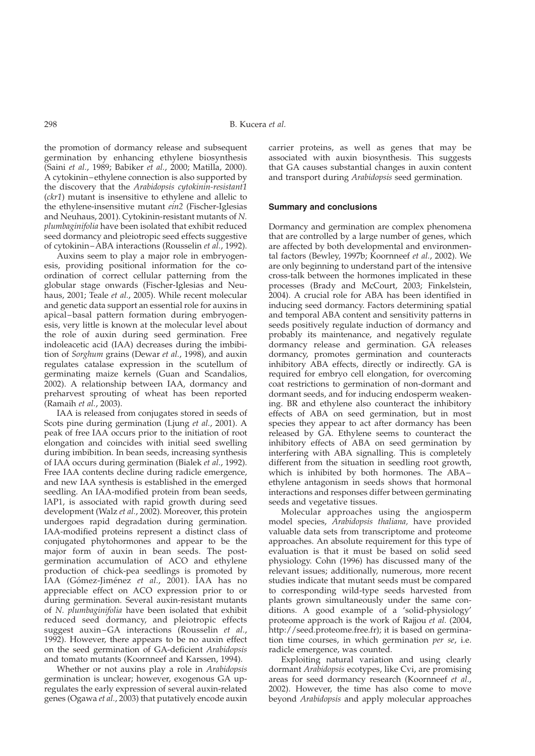the promotion of dormancy release and subsequent germination by enhancing ethylene biosynthesis (Saini et al., 1989; Babiker et al., 2000; Matilla, 2000). A cytokinin–ethylene connection is also supported by the discovery that the Arabidopsis cytokinin-resistant1 (ckr1) mutant is insensitive to ethylene and allelic to the ethylene-insensitive mutant ein2 (Fischer-Iglesias and Neuhaus, 2001). Cytokinin-resistant mutants of N. plumbaginifolia have been isolated that exhibit reduced seed dormancy and pleiotropic seed effects suggestive of cytokinin–ABA interactions (Rousselin et al., 1992).

Auxins seem to play a major role in embryogenesis, providing positional information for the coordination of correct cellular patterning from the globular stage onwards (Fischer-Iglesias and Neuhaus, 2001; Teale et al., 2005). While recent molecular and genetic data support an essential role for auxins in apical–basal pattern formation during embryogenesis, very little is known at the molecular level about the role of auxin during seed germination. Free indoleacetic acid (IAA) decreases during the imbibition of Sorghum grains (Dewar et al., 1998), and auxin regulates catalase expression in the scutellum of germinating maize kernels (Guan and Scandalios, 2002). A relationship between IAA, dormancy and preharvest sprouting of wheat has been reported (Ramaih et al., 2003).

IAA is released from conjugates stored in seeds of Scots pine during germination (Ljung et al., 2001). A peak of free IAA occurs prior to the initiation of root elongation and coincides with initial seed swelling during imbibition. In bean seeds, increasing synthesis of IAA occurs during germination (Bialek et al., 1992). Free IAA contents decline during radicle emergence, and new IAA synthesis is established in the emerged seedling. An IAA-modified protein from bean seeds, lAP1, is associated with rapid growth during seed development (Walz et al., 2002). Moreover, this protein undergoes rapid degradation during germination. IAA-modified proteins represent a distinct class of conjugated phytohormones and appear to be the major form of auxin in bean seeds. The postgermination accumulation of ACO and ethylene production of chick-pea seedlings is promoted by IAA (Gómez-Jiménez et al., 2001). IAA has no appreciable effect on ACO expression prior to or during germination. Several auxin-resistant mutants of N. plumbaginifolia have been isolated that exhibit reduced seed dormancy, and pleiotropic effects suggest auxin–GA interactions (Rousselin et al., 1992). However, there appears to be no auxin effect on the seed germination of GA-deficient Arabidopsis and tomato mutants (Koornneef and Karssen, 1994).

Whether or not auxins play a role in Arabidopsis germination is unclear; however, exogenous GA upregulates the early expression of several auxin-related genes (Ogawa et al., 2003) that putatively encode auxin carrier proteins, as well as genes that may be associated with auxin biosynthesis. This suggests that GA causes substantial changes in auxin content and transport during Arabidopsis seed germination.

### Summary and conclusions

Dormancy and germination are complex phenomena that are controlled by a large number of genes, which are affected by both developmental and environmental factors (Bewley, 1997b; Koornneef et al., 2002). We are only beginning to understand part of the intensive cross-talk between the hormones implicated in these processes (Brady and McCourt, 2003; Finkelstein, 2004). A crucial role for ABA has been identified in inducing seed dormancy. Factors determining spatial and temporal ABA content and sensitivity patterns in seeds positively regulate induction of dormancy and probably its maintenance, and negatively regulate dormancy release and germination. GA releases dormancy, promotes germination and counteracts inhibitory ABA effects, directly or indirectly. GA is required for embryo cell elongation, for overcoming coat restrictions to germination of non-dormant and dormant seeds, and for inducing endosperm weakening. BR and ethylene also counteract the inhibitory effects of ABA on seed germination, but in most species they appear to act after dormancy has been released by GA. Ethylene seems to counteract the inhibitory effects of ABA on seed germination by interfering with ABA signalling. This is completely different from the situation in seedling root growth, which is inhibited by both hormones. The ABA– ethylene antagonism in seeds shows that hormonal interactions and responses differ between germinating seeds and vegetative tissues.

Molecular approaches using the angiosperm model species, Arabidopsis thaliana, have provided valuable data sets from transcriptome and proteome approaches. An absolute requirement for this type of evaluation is that it must be based on solid seed physiology. Cohn (1996) has discussed many of the relevant issues; additionally, numerous, more recent studies indicate that mutant seeds must be compared to corresponding wild-type seeds harvested from plants grown simultaneously under the same conditions. A good example of a 'solid-physiology' proteome approach is the work of Rajjou et al. (2004, http://seed.proteome.free.fr); it is based on germination time courses, in which germination per se, i.e. radicle emergence, was counted.

Exploiting natural variation and using clearly dormant Arabidopsis ecotypes, like Cvi, are promising areas for seed dormancy research (Koornneef et al., 2002). However, the time has also come to move beyond Arabidopsis and apply molecular approaches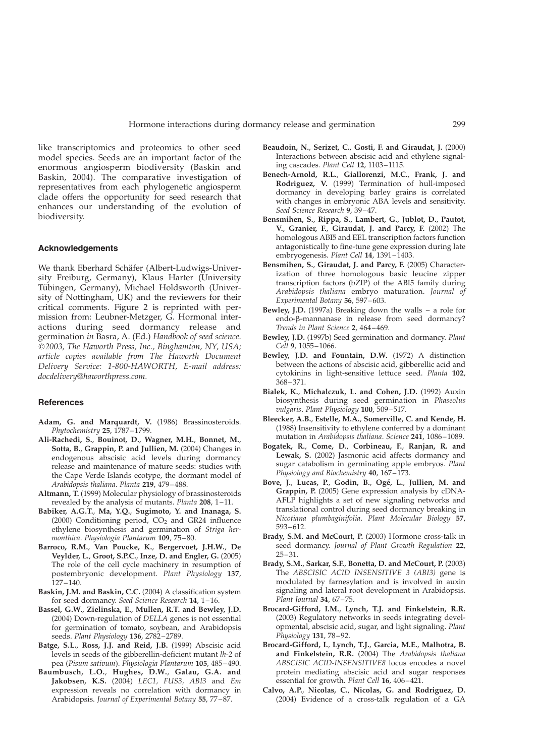like transcriptomics and proteomics to other seed model species. Seeds are an important factor of the enormous angiosperm biodiversity (Baskin and Baskin, 2004). The comparative investigation of representatives from each phylogenetic angiosperm clade offers the opportunity for seed research that enhances our understanding of the evolution of biodiversity.

#### Acknowledgements

We thank Eberhard Schäfer (Albert-Ludwigs-University Freiburg, Germany), Klaus Harter (University Tübingen, Germany), Michael Holdsworth (University of Nottingham, UK) and the reviewers for their critical comments. [Figure 2](#page-2-0) is reprinted with permission from: Leubner-Metzger, G. Hormonal interactions during seed dormancy release and germination in Basra, A. (Ed.) Handbook of seed science. ©2003, The Haworth Press, Inc., Binghamton, NY, USA; article copies available from The Haworth Document Delivery Service: 1-800-HAWORTH, E-mail address: docdelivery@haworthpress.com.

#### **References**

- Adam, G. and Marquardt, V. (1986) Brassinosteroids. Phytochemistry  $25, 1787 - 1799$ .
- Ali-Rachedi, S., Bouinot, D., Wagner, M.H., Bonnet, M., Sotta, B., Grappin, P. and Jullien, M. (2004) Changes in endogenous abscisic acid levels during dormancy release and maintenance of mature seeds: studies with the Cape Verde Islands ecotype, the dormant model of Arabidopsis thaliana. Planta 219, 479–488.
- Altmann, T. (1999) Molecular physiology of brassinosteroids revealed by the analysis of mutants. Planta 208, 1–11.
- Babiker, A.G.T., Ma, Y.Q., Sugimoto, Y. and Inanaga, S. (2000) Conditioning period,  $CO<sub>2</sub>$  and GR24 influence ethylene biosynthesis and germination of Striga hermonthica. Physiologia Plantarum 109, 75–80.
- Barroco, R.M., Van Poucke, K., Bergervoet, J.H.W., De Veylder, L., Groot, S.P.C., Inze, D. and Engler, G. (2005) The role of the cell cycle machinery in resumption of postembryonic development. Plant Physiology 137, 127–140.
- Baskin, J.M. and Baskin, C.C. (2004) A classification system for seed dormancy. Seed Science Research 14, 1–16.
- Bassel, G.W., Zielinska, E., Mullen, R.T. and Bewley, J.D. (2004) Down-regulation of DELLA genes is not essential for germination of tomato, soybean, and Arabidopsis seeds. Plant Physiology 136, 2782-2789.
- Batge, S.L., Ross, J.J. and Reid, J.B. (1999) Abscisic acid levels in seeds of the gibberellin-deficient mutant lh-2 of pea (Pisum sativum). Physiologia Plantarum 105, 485–490.
- Baumbusch, L.O., Hughes, D.W., Galau, G.A. and Jakobsen, K.S. (2004) LEC1, FUS3, ABI3 and Em expression reveals no correlation with dormancy in Arabidopsis. Journal of Experimental Botany 55, 77–87.
- Beaudoin, N., Serizet, C., Gosti, F. and Giraudat, J. (2000) Interactions between abscisic acid and ethylene signaling cascades. Plant Cell 12, 1103–1115.
- Benech-Arnold, R.L., Giallorenzi, M.C., Frank, J. and Rodriguez, V. (1999) Termination of hull-imposed dormancy in developing barley grains is correlated with changes in embryonic ABA levels and sensitivity. Seed Science Research 9, 39–47.
- Bensmihen, S., Rippa, S., Lambert, G., Jublot, D., Pautot, V., Granier, F., Giraudat, J. and Parcy, F. (2002) The homologous ABI5 and EEL transcription factors function antagonistically to fine-tune gene expression during late embryogenesis. Plant Cell 14, 1391–1403.
- Bensmihen, S., Giraudat, J. and Parcy, F. (2005) Characterization of three homologous basic leucine zipper transcription factors (bZIP) of the ABI5 family during Arabidopsis thaliana embryo maturation. Journal of Experimental Botany 56, 597–603.
- Bewley, J.D. (1997a) Breaking down the walls a role for endo-β-mannanase in release from seed dormancy? Trends in Plant Science 2, 464–469.
- Bewley, J.D. (1997b) Seed germination and dormancy. Plant Cell 9, 1055–1066.
- Bewley, J.D. and Fountain, D.W. (1972) A distinction between the actions of abscisic acid, gibberellic acid and cytokinins in light-sensitive lettuce seed. Planta 102, 368–371.
- Bialek, K., Michalczuk, L. and Cohen, J.D. (1992) Auxin biosynthesis during seed germination in Phaseolus vulgaris. Plant Physiology 100, 509–517.
- Bleecker, A.B., Estelle, M.A., Somerville, C. and Kende, H. (1988) Insensitivity to ethylene conferred by a dominant mutation in Arabidopsis thaliana. Science 241, 1086–1089.
- Bogatek, R., Come, D., Corbineau, F., Ranjan, R. and Lewak, S. (2002) Jasmonic acid affects dormancy and sugar catabolism in germinating apple embryos. Plant Physiology and Biochemistry 40, 167–173.
- Bove, J., Lucas, P., Godin, B., Ogé, L., Jullien, M. and Grappin, P. (2005) Gene expression analysis by cDNA-AFLP highlights a set of new signaling networks and translational control during seed dormancy breaking in Nicotiana plumbaginifolia. Plant Molecular Biology 57, 593–612.
- Brady, S.M. and McCourt, P. (2003) Hormone cross-talk in seed dormancy. Journal of Plant Growth Regulation 22, 25–31.
- Brady, S.M., Sarkar, S.F., Bonetta, D. and McCourt, P. (2003) The ABSCISIC ACID INSENSITIVE 3 (ABI3) gene is modulated by farnesylation and is involved in auxin signaling and lateral root development in Arabidopsis. Plant Journal 34, 67–75.
- Brocard-Gifford, I.M., Lynch, T.J. and Finkelstein, R.R. (2003) Regulatory networks in seeds integrating developmental, abscisic acid, sugar, and light signaling. Plant Physiology **131**, 78-92.
- Brocard-Gifford, I., Lynch, T.J., Garcia, M.E., Malhotra, B. and Finkelstein, R.R. (2004) The Arabidopsis thaliana ABSCISIC ACID-INSENSITIVE8 locus encodes a novel protein mediating abscisic acid and sugar responses essential for growth. Plant Cell 16, 406-421.
- Calvo, A.P., Nicolas, C., Nicolas, G. and Rodriguez, D. (2004) Evidence of a cross-talk regulation of a GA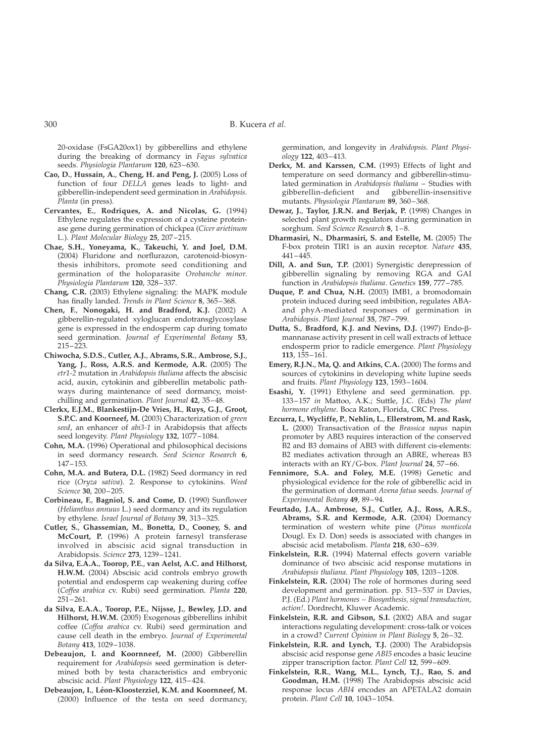20-oxidase (FsGA20ox1) by gibberellins and ethylene during the breaking of dormancy in Fagus sylvatica seeds. Physiologia Plantarum 120, 623–630.

- Cao, D., Hussain, A., Cheng, H. and Peng, J. (2005) Loss of function of four DELLA genes leads to light- and gibberellin-independent seed germination in Arabidopsis. Planta (in press).
- Cervantes, E., Rodriques, A. and Nicolas, G. (1994) Ethylene regulates the expression of a cysteine proteinase gene during germination of chickpea (Cicer arietinum L.). Plant Molecular Biology 25, 207–215.
- Chae, S.H., Yoneyama, K., Takeuchi, Y. and Joel, D.M. (2004) Fluridone and norflurazon, carotenoid-biosynthesis inhibitors, promote seed conditioning and germination of the holoparasite Orobanche minor. Physiologia Plantarum 120, 328–337.
- Chang, C.R. (2003) Ethylene signaling: the MAPK module has finally landed. Trends in Plant Science 8, 365–368.
- Chen, F., Nonogaki, H. and Bradford, K.J. (2002) A gibberellin-regulated xyloglucan endotransglycosylase gene is expressed in the endosperm cap during tomato seed germination. Journal of Experimental Botany 53,  $215 - 223$ .
- Chiwocha, S.D.S., Cutler, A.J., Abrams, S.R., Ambrose, S.J., Yang, J., Ross, A.R.S. and Kermode, A.R. (2005) The etr1-2 mutation in Arabidopsis thaliana affects the abscisic acid, auxin, cytokinin and gibberellin metabolic pathways during maintenance of seed dormancy, moistchilling and germination. Plant Journal 42, 35–48.
- Clerkx, E.J.M., Blankestijn-De Vries, H., Ruys, G.J., Groot, S.P.C. and Koorneef, M. (2003) Characterization of green seed, an enhancer of abi3-1 in Arabidopsis that affects seed longevity. Plant Physiology 132, 1077-1084.
- Cohn, M.A. (1996) Operational and philosophical decisions in seed dormancy research. Seed Science Research 6, 147–153.
- Cohn, M.A. and Butera, D.L. (1982) Seed dormancy in red rice (Oryza sativa). 2. Response to cytokinins. Weed Science 30, 200–205.
- Corbineau, F., Bagniol, S. and Come, D. (1990) Sunflower (Helianthus annuus L.) seed dormancy and its regulation by ethylene. Israel Journal of Botany 39, 313–325.
- Cutler, S., Ghassemian, M., Bonetta, D., Cooney, S. and McCourt, P. (1996) A protein farnesyl transferase involved in abscisic acid signal transduction in Arabidopsis. Science 273, 1239–1241.
- da Silva, E.A.A., Toorop, P.E., van Aelst, A.C. and Hilhorst, H.W.M. (2004) Abscisic acid controls embryo growth potential and endosperm cap weakening during coffee (Coffea arabica cv. Rubi) seed germination. Planta 220, 251–261.
- da Silva, E.A.A., Toorop, P.E., Nijsse, J., Bewley, J.D. and Hilhorst, H.W.M. (2005) Exogenous gibberellins inhibit coffee (Coffea arabica cv. Rubi) seed germination and cause cell death in the embryo. Journal of Experimental Botany 413, 1029–1038.
- Debeaujon, I. and Koornneef, M. (2000) Gibberellin requirement for Arabidopsis seed germination is determined both by testa characteristics and embryonic abscisic acid. Plant Physiology 122, 415-424.
- Debeaujon, I., Léon-Kloosterziel, K.M. and Koornneef, M. (2000) Influence of the testa on seed dormancy,

germination, and longevity in Arabidopsis. Plant Physiology 122, 403–413.

- Derkx, M. and Karssen, C.M. (1993) Effects of light and temperature on seed dormancy and gibberellin-stimulated germination in Arabidopsis thaliana – Studies with gibberellin-deficient and gibberellin-insensitive mutants. Physiologia Plantarum 89, 360–368.
- Dewar, J., Taylor, J.R.N. and Berjak, P. (1998) Changes in selected plant growth regulators during germination in sorghum. Seed Science Research 8, 1–8.
- Dharmasiri, N., Dharmasiri, S. and Estelle, M. (2005) The F-box protein TIR1 is an auxin receptor. Nature 435, 441–445.
- Dill, A. and Sun, T.P. (2001) Synergistic derepression of gibberellin signaling by removing RGA and GAI function in Arabidopsis thaliana. Genetics 159, 777–785.
- Duque, P. and Chua, N.H. (2003) IMB1, a bromodomain protein induced during seed imbibition, regulates ABAand phyA-mediated responses of germination in Arabidopsis. Plant Journal 35, 787–799.
- Dutta, S., Bradford, K.J. and Nevins, D.J. (1997) Endo-bmannanase activity present in cell wall extracts of lettuce endosperm prior to radicle emergence. Plant Physiology 113, 155–161.
- Emery, R.J.N., Ma, Q. and Atkins, C.A. (2000) The forms and sources of cytokinins in developing white lupine seeds and fruits. Plant Physiology 123, 1593–1604.
- Esashi, Y. (1991) Ethylene and seed germination. pp. 133–157 in Mattoo, A.K.; Suttle, J.C. (Eds) The plant hormone ethylene. Boca Raton, Florida, CRC Press.
- Ezcurra, I., Wycliffe, P., Nehlin, L., Ellerstrom, M. and Rask, L. (2000) Transactivation of the Brassica napus napin promoter by ABI3 requires interaction of the conserved B2 and B3 domains of ABI3 with different cis-elements: B2 mediates activation through an ABRE, whereas B3 interacts with an RY/G-box. Plant Journal 24, 57–66.
- Fennimore, S.A. and Foley, M.E. (1998) Genetic and physiological evidence for the role of gibberellic acid in the germination of dormant Avena fatua seeds. Journal of Experimental Botany 49, 89–94.
- Feurtado, J.A., Ambrose, S.J., Cutler, A.J., Ross, A.R.S., Abrams, S.R. and Kermode, A.R. (2004) Dormancy termination of western white pine (Pinus monticola Dougl. Ex D. Don) seeds is associated with changes in abscisic acid metabolism. Planta 218, 630–639.
- Finkelstein, R.R. (1994) Maternal effects govern variable dominance of two abscisic acid response mutations in Arabidopsis thaliana. Plant Physiology 105, 1203–1208.
- Finkelstein, R.R. (2004) The role of hormones during seed development and germination. pp. 513–537 in Davies, P.J. (Ed.) Plant hormones – Biosynthesis, signal transduction, action!. Dordrecht, Kluwer Academic.
- Finkelstein, R.R. and Gibson, S.I. (2002) ABA and sugar interactions regulating development: cross-talk or voices in a crowd? Current Opinion in Plant Biology 5, 26–32.
- Finkelstein, R.R. and Lynch, T.J. (2000) The Arabidopsis abscisic acid response gene ABI5 encodes a basic leucine zipper transcription factor. Plant Cell 12, 599–609.
- Finkelstein, R.R., Wang, M.L., Lynch, T.J., Rao, S. and Goodman, H.M. (1998) The Arabidopsis abscisic acid response locus ABI4 encodes an APETALA2 domain protein. Plant Cell 10, 1043–1054.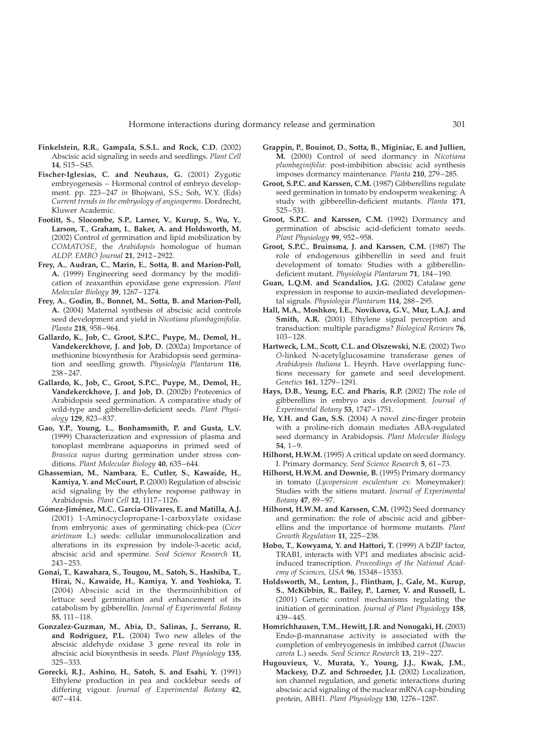- Finkelstein, R.R., Gampala, S.S.L. and Rock, C.D. (2002) Abscisic acid signaling in seeds and seedlings. Plant Cell 14, S15–S45.
- Fischer-Iglesias, C. and Neuhaus, G. (2001) Zygotic embryogenesis – Hormonal control of embryo development. pp. 223–247 in Bhojwani, S.S.; Soh, W.Y. (Eds) Current trends in the embryology of angiosperms. Dordrecht, Kluwer Academic.
- Footitt, S., Slocombe, S.P., Larner, V., Kurup, S., Wu, Y., Larson, T., Graham, I., Baker, A. and Holdsworth, M. (2002) Control of germination and lipid mobilization by COMATOSE, the Arabidopsis homologue of human ALDP. EMBO Journal 21, 2912–2922.
- Frey, A., Audran, C., Marin, E., Sotta, B. and Marion-Poll, A. (1999) Engineering seed dormancy by the modification of zeaxanthin epoxidase gene expression. Plant Molecular Biology 39, 1267–1274.
- Frey, A., Godin, B., Bonnet, M., Sotta, B. and Marion-Poll, A. (2004) Maternal synthesis of abscisic acid controls seed development and yield in Nicotiana plumbaginifolia. Planta 218, 958-964.
- Gallardo, K., Job, C., Groot, S.P.C., Puype, M., Demol, H., Vandekerckhove, J. and Job, D. (2002a) Importance of methionine biosynthesis for Arabidopsis seed germination and seedling growth. Physiologia Plantarum 116, 238–247.
- Gallardo, K., Job, C., Groot, S.P.C., Puype, M., Demol, H., Vandekerckhove, J. and Job, D. (2002b) Proteomics of Arabidopsis seed germination. A comparative study of wild-type and gibberellin-deficient seeds. Plant Physiology 129, 823–837.
- Gao, Y.P., Young, L., Bonhamsmith, P. and Gusta, L.V. (1999) Characterization and expression of plasma and tonoplast membrane aquaporins in primed seed of Brassica napus during germination under stress conditions. Plant Molecular Biology 40, 635–644.
- Ghassemian, M., Nambara, E., Cutler, S., Kawaide, H., Kamiya, Y. and McCourt, P. (2000) Regulation of abscisic acid signaling by the ethylene response pathway in Arabidopsis. Plant Cell 12, 1117–1126.
- Gómez-Jiménez, M.C., Garcia-Olivares, E. and Matilla, A.J. (2001) 1-Aminocyclopropane-1-carboxylate oxidase from embryonic axes of germinating chick-pea (Cicer arietinum L.) seeds: cellular immunolocalization and alterations in its expression by indole-3-acetic acid, abscisic acid and spermine. Seed Science Research 11, 243–253.
- Gonai, T., Kawahara, S., Tougou, M., Satoh, S., Hashiba, T., Hirai, N., Kawaide, H., Kamiya, Y. and Yoshioka, T. (2004) Abscisic acid in the thermoinhibition of lettuce seed germination and enhancement of its catabolism by gibberellin. Journal of Experimental Botany 55, 111–118.
- Gonzalez-Guzman, M., Abia, D., Salinas, J., Serrano, R. and Rodriguez, P.L. (2004) Two new alleles of the abscisic aldehyde oxidase 3 gene reveal its role in abscisic acid biosynthesis in seeds. Plant Physiology 135, 325–333.
- Gorecki, R.J., Ashino, H., Satoh, S. and Esahi, Y. (1991) Ethylene production in pea and cocklebur seeds of differing vigour. Journal of Experimental Botany 42, 407–414.
- Grappin, P., Bouinot, D., Sotta, B., Miginiac, E. and Jullien, M. (2000) Control of seed dormancy in Nicotiana plumbaginifolia: post-imbibition abscisic acid synthesis imposes dormancy maintenance. Planta 210, 279–285.
- Groot, S.P.C. and Karssen, C.M. (1987) Gibberellins regulate seed germination in tomato by endosperm weakening: A study with gibberellin-deficient mutants. Planta 171, 525–531.
- Groot, S.P.C. and Karssen, C.M. (1992) Dormancy and germination of abscisic acid-deficient tomato seeds. Plant Physiology 99, 952–958.
- Groot, S.P.C., Bruinsma, J. and Karssen, C.M. (1987) The role of endogenous gibberellin in seed and fruit development of tomato: Studies with a gibberellindeficient mutant. Physiologia Plantarum 71, 184–190.
- Guan, L.Q.M. and Scandalios, J.G. (2002) Catalase gene expression in response to auxin-mediated developmental signals. Physiologia Plantarum 114, 288–295.
- Hall, M.A., Moshkov, I.E., Novikova, G.V., Mur, L.A.J. and Smith, A.R. (2001) Ethylene signal perception and transduction: multiple paradigms? Biological Reviews 76, 103–128.
- Hartweck, L.M., Scott, C.L. and Olszewski, N.E. (2002) Two O-linked N-acetylglucosamine transferase genes of Arabidopsis thaliana L. Heynh. Have overlapping functions necessary for gamete and seed development. Genetics 161, 1279–1291.
- Hays, D.B., Yeung, E.C. and Pharis, R.P. (2002) The role of gibberellins in embryo axis development. Journal of Experimental Botany 53, 1747–1751.
- He, Y.H. and Gan, S.S. (2004) A novel zinc-finger protein with a proline-rich domain mediates ABA-regulated seed dormancy in Arabidopsis. Plant Molecular Biology 54, 1–9.
- Hilhorst, H.W.M. (1995) A critical update on seed dormancy. I. Primary dormancy. Seed Science Research 5, 61–73.
- Hilhorst, H.W.M. and Downie, B. (1995) Primary dormancy in tomato (Lycopersicon esculentum cv. Moneymaker): Studies with the sitiens mutant. Journal of Experimental Botany 47, 89–97.
- Hilhorst, H.W.M. and Karssen, C.M. (1992) Seed dormancy and germination: the role of abscisic acid and gibberellins and the importance of hormone mutants. Plant Growth Regulation 11, 225–238.
- Hobo, T., Kowyama, Y. and Hattori, T. (1999) A bZIP factor, TRAB1, interacts with VP1 and mediates abscisic acidinduced transcription. Proceedings of the National Academy of Sciences, USA 96, 15348–15353.
- Holdsworth, M., Lenton, J., Flintham, J., Gale, M., Kurup, S., McKibbin, R., Bailey, P., Larner, V. and Russell, L. (2001) Genetic control mechanisms regulating the initiation of germination. Journal of Plant Physiology 158, 439–445.
- Homrichhausen, T.M., Hewitt, J.R. and Nonogaki, H. (2003) Endo-b-mannanase activity is associated with the completion of embryogenesis in imbibed carrot (Daucus carota L.) seeds. Seed Science Research 13, 219–227.
- Hugouvieux, V., Murata, Y., Young, J.J., Kwak, J.M., Mackesy, D.Z. and Schroeder, J.I. (2002) Localization, ion channel regulation, and genetic interactions during abscisic acid signaling of the nuclear mRNA cap-binding protein, ABH1. Plant Physiology 130, 1276–1287.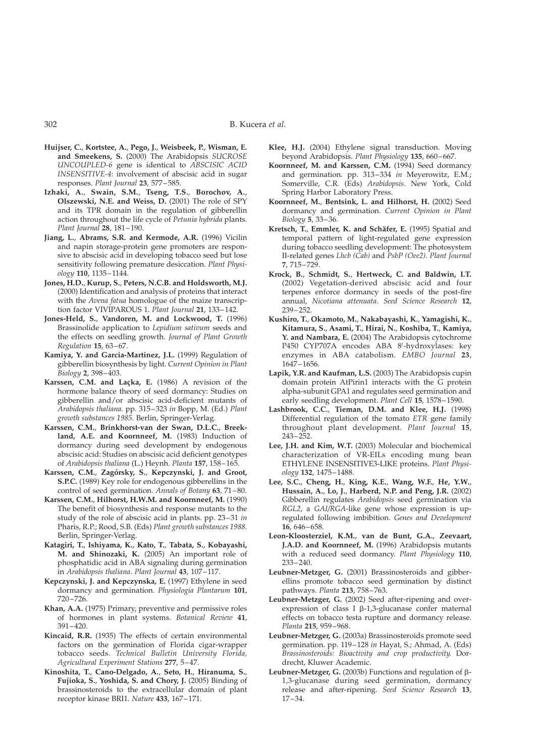- Huijser, C., Kortstee, A., Pego, J., Weisbeek, P., Wisman, E. and Smeekens, S. (2000) The Arabidopsis SUCROSE UNCOUPLED-6 gene is identical to ABSCISIC ACID INSENSITIVE-4: involvement of abscisic acid in sugar responses. Plant Journal 23, 577–585.
- Izhaki, A., Swain, S.M., Tseng, T.S., Borochov, A., Olszewski, N.E. and Weiss, D. (2001) The role of SPY and its TPR domain in the regulation of gibberellin action throughout the life cycle of Petunia hybrida plants. Plant Journal 28, 181–190.
- Jiang, L., Abrams, S.R. and Kermode, A.R. (1996) Vicilin and napin storage-protein gene promoters are responsive to abscisic acid in developing tobacco seed but lose sensitivity following premature desiccation. Plant Physiology 110, 1135–1144.
- Jones, H.D., Kurup, S., Peters, N.C.B. and Holdsworth, M.J. (2000) Identification and analysis of proteins that interact with the Avena fatua homologue of the maize transcription factor VIVIPAROUS 1. Plant Journal 21, 133-142.
- Jones-Held, S., Vandoren, M. and Lockwood, T. (1996) Brassinolide application to Lepidium sativum seeds and the effects on seedling growth. Journal of Plant Growth Regulation 15, 63–67.
- Kamiya, Y. and Garcia-Martinez, J.L. (1999) Regulation of gibberellin biosynthesis by light. Current Opinion in Plant Biology 2, 398–403.
- Karssen, C.M. and Laçka, E. (1986) A revision of the hormone balance theory of seed dormancy: Studies on gibberellin and/or abscisic acid-deficient mutants of Arabidopsis thaliana. pp. 315–323 in Bopp, M. (Ed.) Plant growth substances 1985. Berlin, Springer-Verlag.
- Karssen, C.M., Brinkhorst-van der Swan, D.L.C., Breekland, A.E. and Koornneef, M. (1983) Induction of dormancy during seed development by endogenous abscisic acid: Studies on abscisic acid deficient genotypes of Arabidopsis thaliana (L.) Heynh. Planta 157, 158–165.
- Karssen, C.M., Zagórsky, S., Kepczynski, J. and Groot, S.P.C. (1989) Key role for endogenous gibberellins in the control of seed germination. Annals of Botany 63, 71–80.
- Karssen, C.M., Hilhorst, H.W.M. and Koornneef, M. (1990) The benefit of biosynthesis and response mutants to the study of the role of abscisic acid in plants. pp. 23–31 in Pharis, R.P.; Rood, S.B. (Eds) Plant growth substances 1988. Berlin, Springer-Verlag.
- Katagiri, T., Ishiyama, K., Kato, T., Tabata, S., Kobayashi, M. and Shinozaki, K. (2005) An important role of phosphatidic acid in ABA signaling during germination in Arabidopsis thaliana. Plant Journal 43, 107–117.
- Kepczynski, J. and Kepczynska, E. (1997) Ethylene in seed dormancy and germination. Physiologia Plantarum 101, 720–726.
- Khan, A.A. (1975) Primary, preventive and permissive roles of hormones in plant systems. Botanical Review 41, 391–420.
- Kincaid, R.R. (1935) The effects of certain environmental factors on the germination of Florida cigar-wrapper tobacco seeds. Technical Bulletin University Florida, Agricultural Experiment Stations 277, 5–47.
- Kinoshita, T., Cano-Delgado, A., Seto, H., Hiranuma, S., Fujioka, S., Yoshida, S. and Chory, J. (2005) Binding of brassinosteroids to the extracellular domain of plant receptor kinase BRI1. Nature 433, 167–171.
- Klee, H.J. (2004) Ethylene signal transduction. Moving beyond Arabidopsis. Plant Physiology 135, 660–667.
- Koornneef, M. and Karssen, C.M. (1994) Seed dormancy and germination. pp. 313–334 in Meyerowitz, E.M.; Somerville, C.R. (Eds) Arabidopsis. New York, Cold Spring Harbor Laboratory Press.
- Koornneef, M., Bentsink, L. and Hilhorst, H. (2002) Seed dormancy and germination. Current Opinion in Plant Biology 5, 33–36.
- Kretsch, T., Emmler, K. and Schäfer, E. (1995) Spatial and temporal pattern of light-regulated gene expression during tobacco seedling development: The photosystem II-related genes Lhcb (Cab) and PsbP (Oee2). Plant Journal 7, 715–729.
- Krock, B., Schmidt, S., Hertweck, C. and Baldwin, I.T. (2002) Vegetation-derived abscisic acid and four terpenes enforce dormancy in seeds of the post-fire annual, Nicotiana attenuata. Seed Science Research 12, 239–252.
- Kushiro, T., Okamoto, M., Nakabayashi, K., Yamagishi, K., Kitamura, S., Asami, T., Hirai, N., Koshiba, T., Kamiya, Y. and Nambara, E. (2004) The Arabidopsis cytochrome P450 CYP707A encodes ABA 8'-hydroxylases: key enzymes in ABA catabolism. EMBO Journal 23, 1647–1656.
- Lapik, Y.R. and Kaufman, L.S. (2003) The Arabidopsis cupin domain protein AtPirin1 interacts with the G protein alpha-subunit GPA1 and regulates seed germination and early seedling development. Plant Cell 15, 1578–1590.
- Lashbrook, C.C., Tieman, D.M. and Klee, H.J. (1998) Differential regulation of the tomato ETR gene family throughout plant development. Plant Journal 15,  $243 - 252$ .
- Lee, J.H. and Kim, W.T. (2003) Molecular and biochemical characterization of VR-EILs encoding mung bean ETHYLENE INSENSITIVE3-LIKE proteins. Plant Physiology 132, 1475–1488.
- Lee, S.C., Cheng, H., King, K.E., Wang, W.F., He, Y.W., Hussain, A., Lo, J., Harberd, N.P. and Peng, J.R. (2002) Gibberellin regulates Arabidopsis seed germination via RGL2, a GAI/RGA-like gene whose expression is upregulated following imbibition. Genes and Development 16, 646–658.
- Leon-Kloosterziel, K.M., van de Bunt, G.A., Zeevaart, J.A.D. and Koornneef, M. (1996) Arabidopsis mutants with a reduced seed dormancy. Plant Physiology 110, 233–240.
- Leubner-Metzger, G. (2001) Brassinosteroids and gibberellins promote tobacco seed germination by distinct pathways. Planta 213, 758–763.
- Leubner-Metzger, G. (2002) Seed after-ripening and overexpression of class I  $\beta$ -1,3-glucanase confer maternal effects on tobacco testa rupture and dormancy release. Planta 215, 959–968.
- Leubner-Metzger, G. (2003a) Brassinosteroids promote seed germination. pp. 119–128 in Hayat, S.; Ahmad, A. (Eds) Brassinosteroids: Bioactivity and crop productivity. Dordrecht, Kluwer Academic.
- Leubner-Metzger, G. (2003b) Functions and regulation of  $\beta$ -1,3-glucanase during seed germination, dormancy release and after-ripening. Seed Science Research 13, 17–34.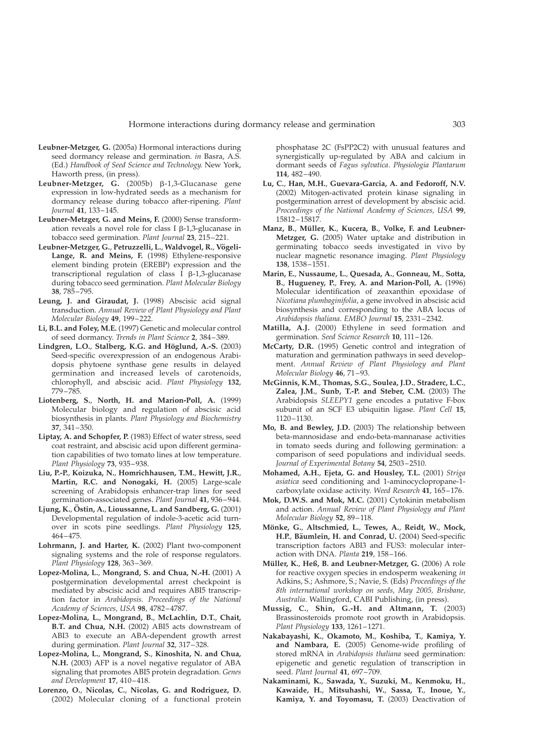- Leubner-Metzger, G. (2005a) Hormonal interactions during seed dormancy release and germination. *in* Basra, A.S. (Ed.) Handbook of Seed Science and Technology. New York, Haworth press, (in press).
- Leubner-Metzger, G.  $(2005b)$   $\beta$ -1,3-Glucanase gene expression in low-hydrated seeds as a mechanism for dormancy release during tobacco after-ripening. Plant Journal 41, 133–145.
- Leubner-Metzger, G. and Meins, F. (2000) Sense transformation reveals a novel role for class I  $\beta$ -1,3-glucanase in tobacco seed germination. Plant Journal 23, 215–221.
- Leubner-Metzger, G., Petruzzelli, L., Waldvogel, R., Vögeli-Lange, R. and Meins, F. (1998) Ethylene-responsive element binding protein (EREBP) expression and the transcriptional regulation of class I  $\beta$ -1,3-glucanase during tobacco seed germination. Plant Molecular Biology 38, 785–795.
- Leung, J. and Giraudat, J. (1998) Abscisic acid signal transduction. Annual Review of Plant Physiology and Plant Molecular Biology 49, 199–222.
- Li, B.L. and Foley, M.E. (1997) Genetic and molecular control of seed dormancy. Trends in Plant Science 2, 384–389.
- Lindgren, L.O., Stalberg, K.G. and Höglund, A.-S. (2003) Seed-specific overexpression of an endogenous Arabidopsis phytoene synthase gene results in delayed germination and increased levels of carotenoids, chlorophyll, and abscisic acid. Plant Physiology 132, 779–785.
- Liotenberg, S., North, H. and Marion-Poll, A. (1999) Molecular biology and regulation of abscisic acid biosynthesis in plants. Plant Physiology and Biochemistry 37, 341–350.
- Liptay, A. and Schopfer, P. (1983) Effect of water stress, seed coat restraint, and abscisic acid upon different germination capabilities of two tomato lines at low temperature. Plant Physiology 73, 935–938.
- Liu, P.-P., Koizuka, N., Homrichhausen, T.M., Hewitt, J.R., Martin, R.C. and Nonogaki, H. (2005) Large-scale screening of Arabidopsis enhancer-trap lines for seed germination-associated genes. Plant Journal 41, 936–944.
- Ljung, K., Östin, A., Lioussanne, L. and Sandberg, G. (2001) Developmental regulation of indole-3-acetic acid turnover in scots pine seedlings. Plant Physiology 125, 464–475.
- Lohrmann, J. and Harter, K. (2002) Plant two-component signaling systems and the role of response regulators. Plant Physiology 128, 363–369.
- Lopez-Molina, L., Mongrand, S. and Chua, N.-H. (2001) A postgermination developmental arrest checkpoint is mediated by abscisic acid and requires ABI5 transcription factor in Arabidopsis. Proceedings of the National Academy of Sciences, USA 98, 4782–4787.
- Lopez-Molina, L., Mongrand, B., McLachlin, D.T., Chait, B.T. and Chua, N.H. (2002) ABI5 acts downstream of ABI3 to execute an ABA-dependent growth arrest during germination. Plant Journal 32, 317–328.
- Lopez-Molina, L., Mongrand, S., Kinoshita, N. and Chua, N.H. (2003) AFP is a novel negative regulator of ABA signaling that promotes ABI5 protein degradation. Genes and Development 17, 410–418.
- Lorenzo, O., Nicolas, C., Nicolas, G. and Rodriguez, D. (2002) Molecular cloning of a functional protein

phosphatase 2C (FsPP2C2) with unusual features and synergistically up-regulated by ABA and calcium in dormant seeds of Fagus sylvatica. Physiologia Plantarum 114, 482–490.

- Lu, C., Han, M.H., Guevara-Garcia, A. and Fedoroff, N.V. (2002) Mitogen-activated protein kinase signaling in postgermination arrest of development by abscisic acid. Proceedings of the National Academy of Sciences, USA 99, 15812–15817.
- Manz, B., Müller, K., Kucera, B., Volke, F. and Leubner-Metzger, G. (2005) Water uptake and distribution in germinating tobacco seeds investigated in vivo by nuclear magnetic resonance imaging. Plant Physiology 138, 1538–1551.
- Marin, E., Nussaume, L., Quesada, A., Gonneau, M., Sotta, B., Hugueney, P., Frey, A. and Marion-Poll, A. (1996) Molecular identification of zeaxanthin epoxidase of Nicotiana plumbaginifolia, a gene involved in abscisic acid biosynthesis and corresponding to the ABA locus of Arabidopsis thaliana. EMBO Journal 15, 2331–2342.
- Matilla, A.J. (2000) Ethylene in seed formation and germination. Seed Science Research 10, 111–126.
- McCarty, D.R. (1995) Genetic control and integration of maturation and germination pathways in seed development. Annual Review of Plant Physiology and Plant Molecular Biology 46, 71–93.
- McGinnis, K.M., Thomas, S.G., Soulea, J.D., Straderc, L.C., Zalea, J.M., Sunb, T.-P. and Steber, C.M. (2003) The Arabidopsis SLEEPY1 gene encodes a putative F-box subunit of an SCF E3 ubiquitin ligase. Plant Cell 15, 1120–1130.
- Mo, B. and Bewley, J.D. (2003) The relationship between beta-mannosidase and endo-beta-mannanase activities in tomato seeds during and following germination: a comparison of seed populations and individual seeds. Journal of Experimental Botany 54, 2503–2510.
- Mohamed, A.H., Ejeta, G. and Housley, T.L. (2001) Striga asiatica seed conditioning and 1-aminocyclopropane-1 carboxylate oxidase activity. Weed Research 41, 165–176.
- Mok, D.W.S. and Mok, M.C. (2001) Cytokinin metabolism and action. Annual Review of Plant Physiology and Plant Molecular Biology 52, 89–118.
- Mönke, G., Altschmied, L., Tewes, A., Reidt, W., Mock, H.P., Bäumlein, H. and Conrad, U. (2004) Seed-specific transcription factors ABI3 and FUS3: molecular interaction with DNA. Planta 219, 158–166.
- Müller, K., Heß, B. and Leubner-Metzger, G. (2006) A role for reactive oxygen species in endosperm weakening in Adkins, S.; Ashmore, S.; Navie, S. (Eds) Proceedings of the 8th international workshop on seeds, May 2005, Brisbane, Australia. Wallingford, CABI Publishing, (in press).
- Mussig, C., Shin, G.-H. and Altmann, T. (2003) Brassinosteroids promote root growth in Arabidopsis. Plant Physiology 133, 1261–1271.
- Nakabayashi, K., Okamoto, M., Koshiba, T., Kamiya, Y. and Nambara, E. (2005) Genome-wide profiling of stored mRNA in Arabidopsis thaliana seed germination: epigenetic and genetic regulation of transcription in seed. Plant Journal 41, 697–709.
- Nakaminami, K., Sawada, Y., Suzuki, M., Kenmoku, H., Kawaide, H., Mitsuhashi, W., Sassa, T., Inoue, Y., Kamiya, Y. and Toyomasu, T. (2003) Deactivation of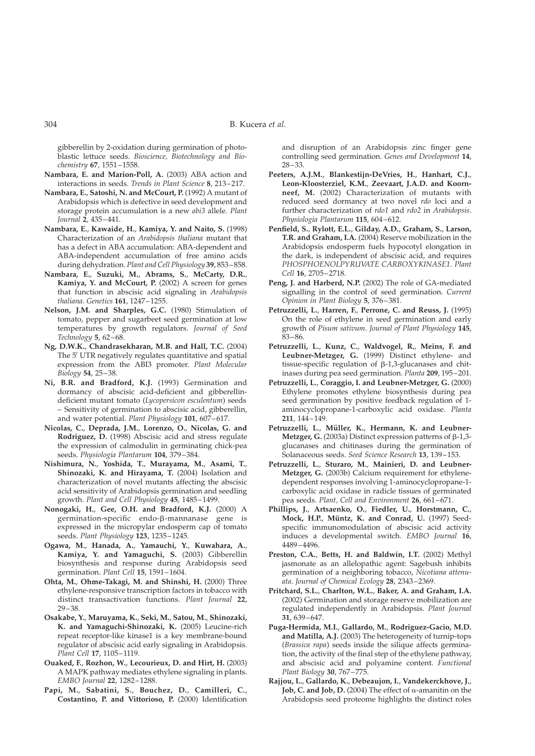gibberellin by 2-oxidation during germination of photoblastic lettuce seeds. Bioscience, Biotechnology and Biochemistry 67, 1551–1558.

- Nambara, E. and Marion-Poll, A. (2003) ABA action and interactions in seeds. Trends in Plant Science 8, 213–217.
- Nambara, E., Satoshi, N. and McCourt, P. (1992) A mutant of Arabidopsis which is defective in seed development and storage protein accumulation is a new abi3 allele. Plant Journal 2, 435–441.
- Nambara, E., Kawaide, H., Kamiya, Y. and Naito, S. (1998) Characterization of an Arabidopsis thaliana mutant that has a defect in ABA accumulation: ABA-dependent and ABA-independent accumulation of free amino acids during dehydration. Plant and Cell Physiology 39, 853–858.
- Nambara, E., Suzuki, M., Abrams, S., McCarty, D.R., Kamiya, Y. and McCourt, P. (2002) A screen for genes that function in abscisic acid signaling in Arabidopsis thaliana. Genetics 161, 1247–1255.
- Nelson, J.M. and Sharples, G.C. (1980) Stimulation of tomato, pepper and sugarbeet seed germination at low temperatures by growth regulators. Journal of Seed Technology 5, 62–68.
- Ng, D.W.K., Chandrasekharan, M.B. and Hall, T.C. (2004) The 5' UTR negatively regulates quantitative and spatial expression from the ABI3 promoter. Plant Molecular Biology 54, 25–38.
- Ni, B.R. and Bradford, K.J. (1993) Germination and dormancy of abscisic acid-deficient and gibberellindeficient mutant tomato (Lycopersicon esculentum) seeds – Sensitivity of germination to abscisic acid, gibberellin, and water potential. Plant Physiology 101, 607–617.
- Nicolas, C., Deprada, J.M., Lorenzo, O., Nicolas, G. and Rodriguez, D. (1998) Abscisic acid and stress regulate the expression of calmodulin in germinating chick-pea seeds. Physiologia Plantarum 104, 379–384.
- Nishimura, N., Yoshida, T., Murayama, M., Asami, T., Shinozaki, K. and Hirayama, T. (2004) Isolation and characterization of novel mutants affecting the abscisic acid sensitivity of Arabidopsis germination and seedling growth. Plant and Cell Physiology 45, 1485–1499.
- Nonogaki, H., Gee, O.H. and Bradford, K.J. (2000) A germination-specific endo-b-mannanase gene is expressed in the micropylar endosperm cap of tomato seeds. Plant Physiology 123, 1235-1245.
- Ogawa, M., Hanada, A., Yamauchi, Y., Kuwahara, A., Kamiya, Y. and Yamaguchi, S. (2003) Gibberellin biosynthesis and response during Arabidopsis seed germination. Plant Cell 15, 1591–1604.
- Ohta, M., Ohme-Takagi, M. and Shinshi, H. (2000) Three ethylene-responsive transcription factors in tobacco with distinct transactivation functions. Plant Journal 22, 29–38.
- Osakabe, Y., Maruyama, K., Seki, M., Satou, M., Shinozaki, K. and Yamaguchi-Shinozaki, K. (2005) Leucine-rich repeat receptor-like kinase1 is a key membrane-bound regulator of abscisic acid early signaling in Arabidopsis. Plant Cell 17, 1105–1119.
- Ouaked, F., Rozhon, W., Lecourieux, D. and Hirt, H. (2003) A MAPK pathway mediates ethylene signaling in plants. EMBO Journal 22, 1282–1288.
- Papi, M., Sabatini, S., Bouchez, D., Camilleri, C., Costantino, P. and Vittorioso, P. (2000) Identification

and disruption of an Arabidopsis zinc finger gene controlling seed germination. Genes and Development 14, 28–33.

- Peeters, A.J.M., Blankestijn-DeVries, H., Hanhart, C.J., Leon-Kloosterziel, K.M., Zeevaart, J.A.D. and Koornneef, M. (2002) Characterization of mutants with reduced seed dormancy at two novel rdo loci and a further characterization of rdo1 and rdo2 in Arabidopsis. Physiologia Plantarum 115, 604–612.
- Penfield, S., Rylott, E.L., Gilday, A.D., Graham, S., Larson, T.R. and Graham, I.A. (2004) Reserve mobilization in the Arabidopsis endosperm fuels hypocotyl elongation in the dark, is independent of abscisic acid, and requires PHOSPHOENOLPYRUVATE CARBOXYKINASE1. Plant Cell 16, 2705–2718.
- Peng, J. and Harberd, N.P. (2002) The role of GA-mediated signalling in the control of seed germination. Current Opinion in Plant Biology 5, 376–381.
- Petruzzelli, L., Harren, F., Perrone, C. and Reuss, J. (1995) On the role of ethylene in seed germination and early growth of Pisum sativum. Journal of Plant Physiology 145, 83–86.
- Petruzzelli, L., Kunz, C., Waldvogel, R., Meins, F. and Leubner-Metzger, G. (1999) Distinct ethylene- and tissue-specific regulation of  $\beta$ -1,3-glucanases and chitinases during pea seed germination. Planta 209, 195–201.
- Petruzzelli, L., Coraggio, I. and Leubner-Metzger, G. (2000) Ethylene promotes ethylene biosynthesis during pea seed germination by positive feedback regulation of 1 aminocyclopropane-1-carboxylic acid oxidase. Planta 211, 144–149.
- Petruzzelli, L., Müller, K., Hermann, K. and Leubner-Metzger, G. (2003a) Distinct expression patterns of  $\beta$ -1,3glucanases and chitinases during the germination of Solanaceous seeds. Seed Science Research 13, 139–153.
- Petruzzelli, L., Sturaro, M., Mainieri, D. and Leubner-Metzger, G. (2003b) Calcium requirement for ethylenedependent responses involving 1-aminocyclopropane-1 carboxylic acid oxidase in radicle tissues of germinated pea seeds. Plant, Cell and Environment 26, 661–671.
- Phillips, J., Artsaenko, O., Fiedler, U., Horstmann, C., Mock, H.P., Müntz, K. and Conrad, U. (1997) Seedspecific immunomodulation of abscisic acid activity induces a developmental switch. EMBO Journal 16, 4489–4496.
- Preston, C.A., Betts, H. and Baldwin, I.T. (2002) Methyl jasmonate as an allelopathic agent: Sagebush inhibits germination of a neighboring tobacco, Nicotiana attenuata. Journal of Chemical Ecology 28, 2343–2369.
- Pritchard, S.L., Charlton, W.L., Baker, A. and Graham, I.A. (2002) Germination and storage reserve mobilization are regulated independently in Arabidopsis. Plant Journal 31, 639–647.
- Puga-Hermida, M.I., Gallardo, M., Rodriguez-Gacio, M.D. and Matilla, A.J. (2003) The heterogeneity of turnip-tops (Brassica rapa) seeds inside the silique affects germination, the activity of the final step of the ethylene pathway, and abscisic acid and polyamine content. Functional Plant Biology 30, 767–775.
- Rajjou, L., Gallardo, K., Debeaujon, I., Vandekerckhove, J., Job, C. and Job, D. (2004) The effect of  $\alpha$ -amanitin on the Arabidopsis seed proteome highlights the distinct roles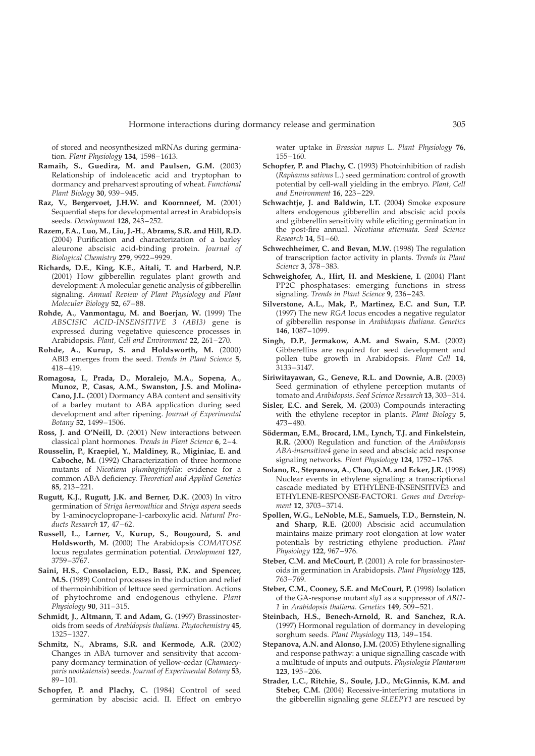of stored and neosynthesized mRNAs during germination. Plant Physiology 134, 1598-1613.

- Ramaih, S., Guedira, M. and Paulsen, G.M. (2003) Relationship of indoleacetic acid and tryptophan to dormancy and preharvest sprouting of wheat. Functional Plant Biology 30, 939–945.
- Raz, V., Bergervoet, J.H.W. and Koornneef, M. (2001) Sequential steps for developmental arrest in Arabidopsis seeds. Development 128, 243–252.
- Razem, F.A., Luo, M., Liu, J.-H., Abrams, S.R. and Hill, R.D. (2004) Purification and characterization of a barley aleurone abscisic acid-binding protein. Journal of Biological Chemistry 279, 9922–9929.
- Richards, D.E., King, K.E., Aitali, T. and Harberd, N.P. (2001) How gibberellin regulates plant growth and development: A molecular genetic analysis of gibberellin signaling. Annual Review of Plant Physiology and Plant Molecular Biology 52, 67–88.
- Rohde, A., Vanmontagu, M. and Boerjan, W. (1999) The ABSCISIC ACID-INSENSITIVE 3 (ABI3) gene is expressed during vegetative quiescence processes in Arabidopsis. Plant, Cell and Environment 22, 261–270.
- Rohde, A., Kurup, S. and Holdsworth, M. (2000) ABI3 emerges from the seed. Trends in Plant Science 5, 418–419.
- Romagosa, I., Prada, D., Moralejo, M.A., Sopena, A., Munoz, P., Casas, A.M., Swanston, J.S. and Molina-Cano, J.L. (2001) Dormancy ABA content and sensitivity of a barley mutant to ABA application during seed development and after ripening. Journal of Experimental Botany 52, 1499–1506.
- Ross, J. and O'Neill, D. (2001) New interactions between classical plant hormones. Trends in Plant Science 6, 2–4.
- Rousselin, P., Kraepiel, Y., Maldiney, R., Miginiac, E. and Caboche, M. (1992) Characterization of three hormone mutants of Nicotiana plumbaginifolia: evidence for a common ABA deficiency. Theoretical and Applied Genetics 85, 213–221.
- Rugutt, K.J., Rugutt, J.K. and Berner, D.K. (2003) In vitro germination of Striga hermonthica and Striga aspera seeds by 1-aminocyclopropane-1-carboxylic acid. Natural Products Research 17, 47–62.
- Russell, L., Larner, V., Kurup, S., Bougourd, S. and Holdsworth, M. (2000) The Arabidopsis COMATOSE locus regulates germination potential. Development 127, 3759–3767.
- Saini, H.S., Consolacion, E.D., Bassi, P.K. and Spencer, M.S. (1989) Control processes in the induction and relief of thermoinhibition of lettuce seed germination. Actions of phytochrome and endogenous ethylene. Plant Physiology 90, 311–315.
- Schmidt, J., Altmann, T. and Adam, G. (1997) Brassinosteroids from seeds of Arabidopsis thaliana. Phytochemistry 45, 1325–1327.
- Schmitz, N., Abrams, S.R. and Kermode, A.R. (2002) Changes in ABA turnover and sensitivity that accompany dormancy termination of yellow-cedar (Chamaecyparis nootkatensis) seeds. Journal of Experimental Botany 53, 89–101.
- Schopfer, P. and Plachy, C. (1984) Control of seed germination by abscisic acid. II. Effect on embryo

water uptake in Brassica napus L. Plant Physiology 76, 155–160.

- Schopfer, P. and Plachy, C. (1993) Photoinhibition of radish (Raphanus sativus L.) seed germination: control of growth potential by cell-wall yielding in the embryo. Plant, Cell and Environment 16, 223–229.
- Schwachtje, J. and Baldwin, I.T. (2004) Smoke exposure alters endogenous gibberellin and abscisic acid pools and gibberellin sensitivity while eliciting germination in the post-fire annual. Nicotiana attenuata. Seed Science Research 14, 51–60.
- Schwechheimer, C. and Bevan, M.W. (1998) The regulation of transcription factor activity in plants. Trends in Plant Science 3, 378–383.
- Schweighofer, A., Hirt, H. and Meskiene, I. (2004) Plant PP2C phosphatases: emerging functions in stress signaling. Trends in Plant Science 9, 236–243.
- Silverstone, A.L., Mak, P., Martinez, E.C. and Sun, T.P. (1997) The new RGA locus encodes a negative regulator of gibberellin response in Arabidopsis thaliana. Genetics 146, 1087–1099.
- Singh, D.P., Jermakow, A.M. and Swain, S.M. (2002) Gibberellins are required for seed development and pollen tube growth in Arabidopsis. Plant Cell 14, 3133–3147.
- Siriwitayawan, G., Geneve, R.L. and Downie, A.B. (2003) Seed germination of ethylene perception mutants of tomato and Arabidopsis. Seed Science Research 13, 303-314.
- Sisler, E.C. and Serek, M. (2003) Compounds interacting with the ethylene receptor in plants. Plant Biology 5, 473–480.
- Söderman, E.M., Brocard, I.M., Lynch, T.J. and Finkelstein, R.R. (2000) Regulation and function of the Arabidopsis ABA-insensitive4 gene in seed and abscisic acid response signaling networks. Plant Physiology 124, 1752–1765.
- Solano, R., Stepanova, A., Chao, Q.M. and Ecker, J.R. (1998) Nuclear events in ethylene signaling: a transcriptional cascade mediated by ETHYLENE-INSENSITIVE3 and ETHYLENE-RESPONSE-FACTOR1. Genes and Development 12, 3703–3714.
- Spollen, W.G., LeNoble, M.E., Samuels, T.D., Bernstein, N. and Sharp, R.E. (2000) Abscisic acid accumulation maintains maize primary root elongation at low water potentials by restricting ethylene production. Plant Physiology 122, 967–976.
- Steber, C.M. and McCourt, P. (2001) A role for brassinosteroids in germination in Arabidopsis. Plant Physiology 125, 763–769.
- Steber, C.M., Cooney, S.E. and McCourt, P. (1998) Isolation of the GA-response mutant sly1 as a suppressor of ABI1- 1 in Arabidopsis thaliana. Genetics 149, 509–521.
- Steinbach, H.S., Benech-Arnold, R. and Sanchez, R.A. (1997) Hormonal regulation of dormancy in developing sorghum seeds. Plant Physiology 113, 149-154.
- Stepanova, A.N. and Alonso, J.M. (2005) Ethylene signalling and response pathway: a unique signalling cascade with a multitude of inputs and outputs. Physiologia Plantarum 123, 195–206.
- Strader, L.C., Ritchie, S., Soule, J.D., McGinnis, K.M. and Steber, C.M. (2004) Recessive-interfering mutations in the gibberellin signaling gene SLEEPY1 are rescued by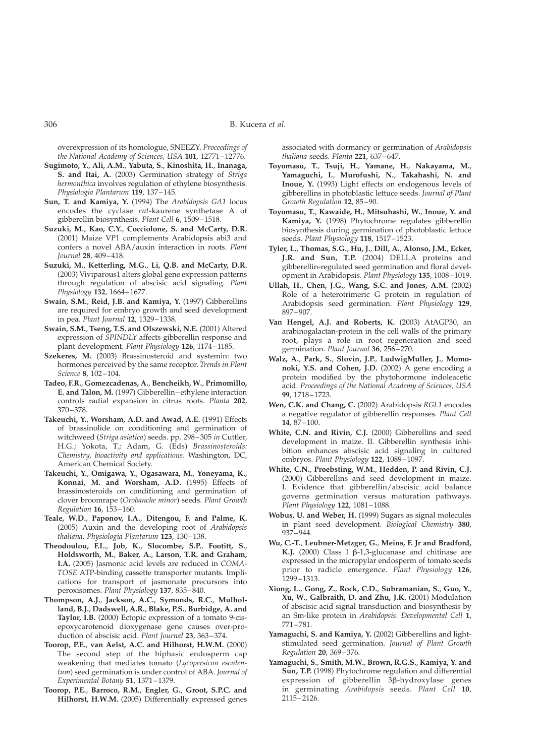overexpression of its homologue, SNEEZY. Proceedings of the National Academy of Sciences, USA 101, 12771–12776.

- Sugimoto, Y., Ali, A.M., Yabuta, S., Kinoshita, H., Inanaga, S. and Itai, A. (2003) Germination strategy of Striga hermonthica involves regulation of ethylene biosynthesis. Physiologia Plantarum 119, 137–145.
- Sun, T. and Kamiya, Y. (1994) The Arabidopsis GA1 locus encodes the cyclase ent-kaurene synthetase A of gibberellin biosynthesis. Plant Cell 6, 1509–1518.
- Suzuki, M., Kao, C.Y., Cocciolone, S. and McCarty, D.R. (2001) Maize VP1 complements Arabidopsis abi3 and confers a novel ABA/auxin interaction in roots. Plant Journal 28, 409–418.
- Suzuki, M., Ketterling, M.G., Li, Q.B. and McCarty, D.R. (2003) Viviparous1 alters global gene expression patterns through regulation of abscisic acid signaling. Plant Physiology 132, 1664–1677.
- Swain, S.M., Reid, J.B. and Kamiya, Y. (1997) Gibberellins are required for embryo growth and seed development in pea. Plant Journal 12, 1329–1338.
- Swain, S.M., Tseng, T.S. and Olszewski, N.E. (2001) Altered expression of SPINDLY affects gibberellin response and plant development. Plant Physiology 126, 1174–1185.
- Szekeres, M. (2003) Brassinosteroid and systemin: two hormones perceived by the same receptor. Trends in Plant Science 8, 102–104.
- Tadeo, F.R., Gomezcadenas, A., Bencheikh, W., Primomillo, E. and Talon, M. (1997) Gibberellin–ethylene interaction controls radial expansion in citrus roots. Planta 202, 370–378.
- Takeuchi, Y., Worsham, A.D. and Awad, A.E. (1991) Effects of brassinolide on conditioning and germination of witchweed (Striga asiatica) seeds. pp. 298–305 in Cuttler, H.G.; Yokota, T.; Adam, G. (Eds) Brassinosteroids: Chemistry, bioactivity and applications. Washington, DC, American Chemical Society.
- Takeuchi, Y., Omigawa, Y., Ogasawara, M., Yoneyama, K., Konnai, M. and Worsham, A.D. (1995) Effects of brassinosteroids on conditioning and germination of clover broomrape (Orobanche minor) seeds. Plant Growth Regulation 16, 153–160.
- Teale, W.D., Paponov, I.A., Ditengou, F. and Palme, K. (2005) Auxin and the developing root of Arabidopsis thaliana. Physiologia Plantarum  $123$ ,  $130-138$ .
- Theodoulou, F.L., Job, K., Slocombe, S.P., Footitt, S., Holdsworth, M., Baker, A., Larson, T.R. and Graham, I.A. (2005) Jasmonic acid levels are reduced in COMA-TOSE ATP-binding cassette transporter mutants. Implications for transport of jasmonate precursors into peroxisomes. Plant Physiology 137, 835–840.
- Thompson, A.J., Jackson, A.C., Symonds, R.C., Mulholland, B.J., Dadswell, A.R., Blake, P.S., Burbidge, A. and Taylor, I.B. (2000) Ectopic expression of a tomato 9-cisepoxycarotenoid dioxygenase gene causes over-production of abscisic acid. Plant Journal 23, 363–374.
- Toorop, P.E., van Aelst, A.C. and Hilhorst, H.W.M. (2000) The second step of the biphasic endosperm cap weakening that mediates tomato (Lycopersicon esculentum) seed germination is under control of ABA. Journal of Experimental Botany 51, 1371–1379.
- Toorop, P.E., Barroco, R.M., Engler, G., Groot, S.P.C. and Hilhorst, H.W.M. (2005) Differentially expressed genes

associated with dormancy or germination of Arabidopsis thaliana seeds. Planta 221, 637–647.

- Toyomasu, T., Tsuji, H., Yamane, H., Nakayama, M., Yamaguchi, I., Murofushi, N., Takahashi, N. and Inoue, Y. (1993) Light effects on endogenous levels of gibberellins in photoblastic lettuce seeds. Journal of Plant Growth Regulation 12, 85–90.
- Toyomasu, T., Kawaide, H., Mitsuhashi, W., Inoue, Y. and Kamiya, Y. (1998) Phytochrome regulates gibberellin biosynthesis during germination of photoblastic lettuce seeds. Plant Physiology 118, 1517-1523.
- Tyler, L., Thomas, S.G., Hu, J., Dill, A., Alonso, J.M., Ecker, J.R. and Sun, T.P. (2004) DELLA proteins and gibberellin-regulated seed germination and floral development in Arabidopsis. Plant Physiology 135, 1008–1019.
- Ullah, H., Chen, J.G., Wang, S.C. and Jones, A.M. (2002) Role of a heterotrimeric G protein in regulation of Arabidopsis seed germination. Plant Physiology 129, 897–907.
- Van Hengel, A.J. and Roberts, K. (2003) AtAGP30, an arabinogalactan-protein in the cell walls of the primary root, plays a role in root regeneration and seed germination. Plant Journal 36, 256–270.
- Walz, A., Park, S., Slovin, J.P., LudwigMuller, J., Momonoki, Y.S. and Cohen, J.D. (2002) A gene encoding a protein modified by the phytohormone indoleacetic acid. Proceedings of the National Academy of Sciences, USA 99, 1718–1723.
- Wen, C.K. and Chang, C. (2002) Arabidopsis RGL1 encodes a negative regulator of gibberellin responses. Plant Cell 14, 87–100.
- White, C.N. and Rivin, C.J. (2000) Gibberellins and seed development in maize. II. Gibberellin synthesis inhibition enhances abscisic acid signaling in cultured embryos. Plant Physiology 122, 1089-1097.
- White, C.N., Proebsting, W.M., Hedden, P. and Rivin, C.J. (2000) Gibberellins and seed development in maize. I. Evidence that gibberellin/abscisic acid balance governs germination versus maturation pathways. Plant Physiology 122, 1081–1088.
- Wobus, U. and Weber, H. (1999) Sugars as signal molecules in plant seed development. Biological Chemistry 380, 937–944.
- Wu, C.-T., Leubner-Metzger, G., Meins, F. Jr and Bradford, K.J. (2000) Class I  $\beta$ -1,3-glucanase and chitinase are expressed in the micropylar endosperm of tomato seeds prior to radicle emergence. Plant Physiology 126, 1299–1313.
- Xiong, L., Gong, Z., Rock, C.D., Subramanian, S., Guo, Y., Xu, W., Galbraith, D. and Zhu, J.K. (2001) Modulation of abscisic acid signal transduction and biosynthesis by an Sm-like protein in Arabidopsis. Developmental Cell 1, 771–781.
- Yamaguchi, S. and Kamiya, Y. (2002) Gibberellins and lightstimulated seed germination. Journal of Plant Growth Regulation 20, 369–376.
- Yamaguchi, S., Smith, M.W., Brown, R.G.S., Kamiya, Y. and Sun, T.P. (1998) Phytochrome regulation and differential expression of gibberellin 3<sub>β</sub>-hydroxylase genes in germinating Arabidopsis seeds. Plant Cell 10, 2115–2126.